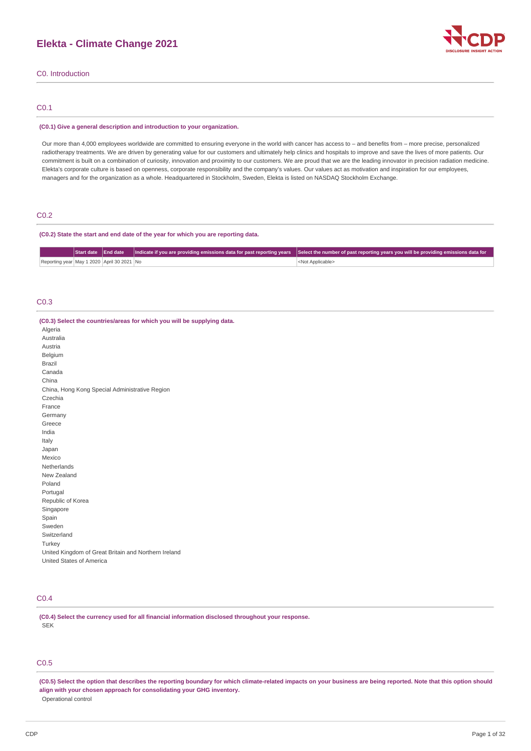# **Elekta - Climate Change 2021**



C0. Introduction

## C0.1

### **(C0.1) Give a general description and introduction to your organization.**

Our more than 4,000 employees worldwide are committed to ensuring everyone in the world with cancer has access to – and benefits from – more precise, personalized radiotherapy treatments. We are driven by generating value for our customers and ultimately help clinics and hospitals to improve and save the lives of more patients. Our commitment is built on a combination of curiosity, innovation and proximity to our customers. We are proud that we are the leading innovator in precision radiation medicine. Elekta's corporate culture is based on openness, corporate responsibility and the company's values. Our values act as motivation and inspiration for our employees, managers and for the organization as a whole. Headquartered in Stockholm, Sweden, Elekta is listed on NASDAQ Stockholm Exchange.

## C0.2

**(C0.2) State the start and end date of the year for which you are reporting data.**

|                                            |  | Start date   End date   Indicate if you are providing emissions data for past reporting years   Select the number of past reporting years you will be providing emissions data for |
|--------------------------------------------|--|------------------------------------------------------------------------------------------------------------------------------------------------------------------------------------|
| Reporting year May 1 2020 April 30 2021 No |  | <not applicable=""></not>                                                                                                                                                          |

### C0.3

| (C0.3) Select the countries/areas for which you will be supplying data. |
|-------------------------------------------------------------------------|
| Algeria                                                                 |
| Australia                                                               |
| Austria                                                                 |
| Belgium                                                                 |
| <b>Brazil</b>                                                           |
| Canada                                                                  |
| China                                                                   |
| China, Hong Kong Special Administrative Region                          |
| Czechia                                                                 |
| France                                                                  |
| Germany                                                                 |
| Greece                                                                  |
| India                                                                   |
| Italy                                                                   |
| Japan                                                                   |
| Mexico                                                                  |
| Netherlands                                                             |
| New Zealand                                                             |
| Poland                                                                  |
| Portugal                                                                |
| Republic of Korea                                                       |
| Singapore                                                               |
| Spain                                                                   |
| Sweden                                                                  |
| Switzerland                                                             |
| Turkey                                                                  |
| United Kingdom of Great Britain and Northern Ireland                    |
| United States of America                                                |

## C0.4

**(C0.4) Select the currency used for all financial information disclosed throughout your response.** SEK

# C0.5

(C0.5) Select the option that describes the reporting boundary for which climate-related impacts on your business are being reported. Note that this option should **align with your chosen approach for consolidating your GHG inventory.** Operational control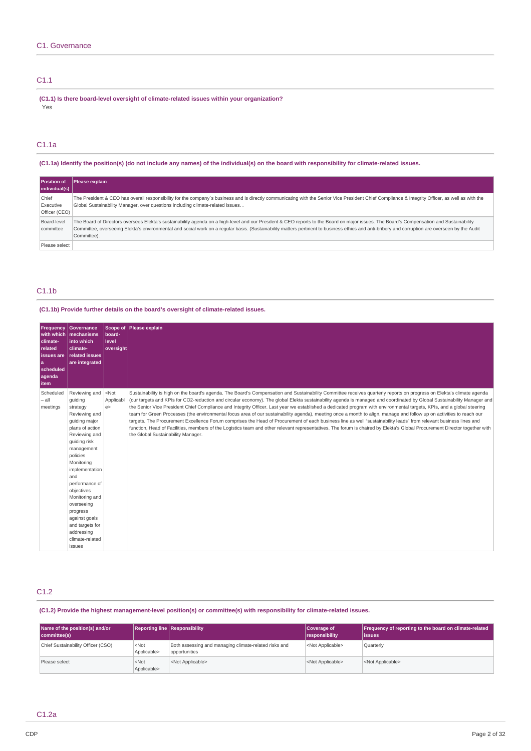## C1.1

**(C1.1) Is there board-level oversight of climate-related issues within your organization?** Yes

# C1.1a

(C1.1a) Identify the position(s) (do not include any names) of the individual(s) on the board with responsibility for climate-related issues.

| <b>Position of</b><br>individual(s) | Please explain                                                                                                                                                                                                                                                                                                                                                                                            |
|-------------------------------------|-----------------------------------------------------------------------------------------------------------------------------------------------------------------------------------------------------------------------------------------------------------------------------------------------------------------------------------------------------------------------------------------------------------|
| Chief<br>Executive<br>Officer (CEO) | The President & CEO has overall responsibility for the company's business and is directly communicating with the Senior Vice President Chief Compliance & Integrity Officer, as well as with the<br>Global Sustainability Manager, over questions including climate-related issues                                                                                                                        |
| Board-level<br>committee            | The Board of Directors oversees Elekta's sustainability agenda on a high-level and our Presdent & CEO reports to the Board on major issues. The Board's Compensation and Sustainability<br>Committee, overseeing Elekta's environmental and social work on a regular basis. (Sustainability matters pertinent to business ethics and anti-bribery and corruption are overseen by the Audit<br>Committee). |
| Please select                       |                                                                                                                                                                                                                                                                                                                                                                                                           |

## C1.1b

## **(C1.1b) Provide further details on the board's oversight of climate-related issues.**

| <b>Frequency</b><br>climate-<br>related<br>l issues are<br>l a<br>scheduled<br>agenda<br><b>item</b> | Governance<br>with which   mechanisms<br>into which<br>climate-<br><b>related issues</b><br>are integrated                                                                                                                                                                                                                                             | Scope of<br>board-<br>level<br> oversiaht | Please explain                                                                                                                                                                                                                                                                                                                                                                                                                                                                                                                                                                                                                                                                                                                                                                                                                                                                                                                                                                                                                                                                             |
|------------------------------------------------------------------------------------------------------|--------------------------------------------------------------------------------------------------------------------------------------------------------------------------------------------------------------------------------------------------------------------------------------------------------------------------------------------------------|-------------------------------------------|--------------------------------------------------------------------------------------------------------------------------------------------------------------------------------------------------------------------------------------------------------------------------------------------------------------------------------------------------------------------------------------------------------------------------------------------------------------------------------------------------------------------------------------------------------------------------------------------------------------------------------------------------------------------------------------------------------------------------------------------------------------------------------------------------------------------------------------------------------------------------------------------------------------------------------------------------------------------------------------------------------------------------------------------------------------------------------------------|
| Scheduled<br>$-$ all<br>meetings                                                                     | Reviewing and<br>quiding<br>strategy<br>Reviewing and<br>quiding major<br>plans of action<br>Reviewing and<br>quiding risk<br>management<br>policies<br>Monitoring<br>implementation<br>and<br>performance of<br>objectives<br>Monitoring and<br>overseeing<br>progress<br>against goals<br>and targets for<br>addressing<br>climate-related<br>issues | $ $ <not<br>Applicabl<br/>e</not<br>      | Sustainability is high on the board's agenda. The Board's Compensation and Sustainability Committee receives quarterly reports on progress on Elekta's climate agenda<br>(our targets and KPIs for CO2-reduction and circular economy). The global Elekta sustainability agenda is managed and coordinated by Global Sustainability Manager and<br>the Senior Vice President Chief Compliance and Integrity Officer. Last year we established a dedicated program with environmental targets, KPIs, and a global steering<br>team for Green Processes (the environmental focus area of our sustainability agenda), meeting once a month to align, manage and follow up on activities to reach our<br>targets. The Procurement Excellence Forum comprises the Head of Procurement of each business line as well "sustainability leads" from relevant business lines and<br>function, Head of Facilities, members of the Logistics team and other relevant representatives. The forum is chaired by Elekta's Global Procurement Director together with<br>the Global Sustainability Manager. |

# C1.2

**(C1.2) Provide the highest management-level position(s) or committee(s) with responsibility for climate-related issues.**

| Name of the position(s) and/or<br>committee(s) | <b>Reporting line Responsibility</b> |                                                                        | Coverage of<br>  responsibility | Frequency of reporting to the board on climate-related<br>lissues |
|------------------------------------------------|--------------------------------------|------------------------------------------------------------------------|---------------------------------|-------------------------------------------------------------------|
| Chief Sustainability Officer (CSO)             | <not<br>Applicable&gt;</not<br>      | Both assessing and managing climate-related risks and<br>opportunities | <not applicable=""></not>       | <b>Quarterly</b>                                                  |
| Please select                                  | $<$ Not<br>Applicable>               | <not applicable=""></not>                                              | <not applicable=""></not>       | <not applicable=""></not>                                         |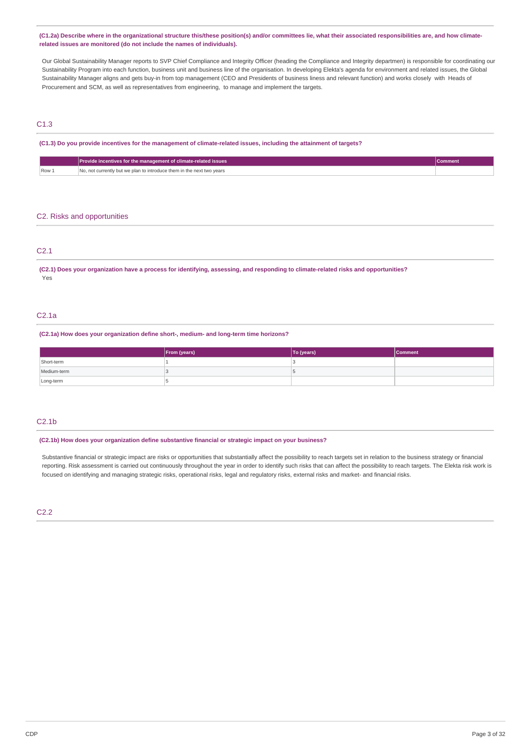(C1.2a) Describe where in the organizational structure this/these position(s) and/or committees lie, what their associated responsibilities are, and how climate**related issues are monitored (do not include the names of individuals).**

Our Global Sustainability Manager reports to SVP Chief Compliance and Integrity Officer (heading the Compliance and Integrity departmen) is responsible for coordinating our Sustainability Program into each function, business unit and business line of the organisation. In developing Elekta's agenda for environment and related issues, the Global Sustainability Manager aligns and gets buy-in from top management (CEO and Presidents of business liness and relevant function) and works closely with Heads of Procurement and SCM, as well as representatives from engineering, to manage and implement the targets.

# C1.3

## (C1.3) Do you provide incentives for the management of climate-related issues, including the attainment of targets?

|       | Provide incentives for the management of climate-related issues       | <b>Comment</b> |
|-------|-----------------------------------------------------------------------|----------------|
| Row 1 | No, not currently but we plan to introduce them in the next two years |                |

### C2. Risks and opportunities

## C2.1

(C2.1) Does your organization have a process for identifying, assessing, and responding to climate-related risks and opportunities? Yes

## C2.1a

**(C2.1a) How does your organization define short-, medium- and long-term time horizons?**

|             | From (years) | To (years) | <b>Comment</b> |
|-------------|--------------|------------|----------------|
| Short-term  |              |            |                |
| Medium-term |              |            |                |
| Long-term   |              |            |                |

## $C2.1<sub>b</sub>$

### **(C2.1b) How does your organization define substantive financial or strategic impact on your business?**

Substantive financial or strategic impact are risks or opportunities that substantially affect the possibility to reach targets set in relation to the business strategy or financial reporting. Risk assessment is carried out continuously throughout the year in order to identify such risks that can affect the possibility to reach targets. The Elekta risk work is focused on identifying and managing strategic risks, operational risks, legal and regulatory risks, external risks and market- and financial risks.

## C2.2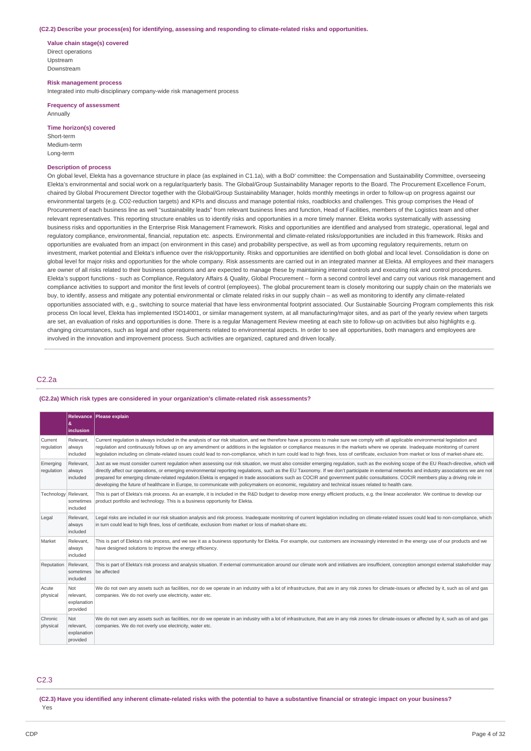#### **(C2.2) Describe your process(es) for identifying, assessing and responding to climate-related risks and opportunities.**

**Value chain stage(s) covered** Direct operations Upstream Downstream

**Risk management process** Integrated into multi-disciplinary company-wide risk management process

**Frequency of assessment Annually** 

## **Time horizon(s) covered**

Short-term Medium-term Long-term

#### **Description of process**

On global level, Elekta has a governance structure in place (as explained in C1.1a), with a BoD' committee: the Compensation and Sustainability Committee, overseeing Elekta's environmental and social work on a regular/quarterly basis. The Global/Group Sustainability Manager reports to the Board. The Procurement Excellence Forum, chaired by Global Procurement Director together with the Global/Group Sustainability Manager, holds monthly meetings in order to follow-up on progress against our environmental targets (e.g. CO2-reduction targets) and KPIs and discuss and manage potential risks, roadblocks and challenges. This group comprises the Head of Procurement of each business line as well "sustainability leads" from relevant business lines and function, Head of Facilities, members of the Logistics team and other relevant representatives. This reporting structure enables us to identify risks and opportunities in a more timely manner. Elekta works systematically with assessing business risks and opportunities in the Enterprise Risk Management Framework. Risks and opportunities are identified and analysed from strategic, operational, legal and regulatory compliance, environmental, financial, reputation etc. aspects. Environmental and climate-related risks/opportunities are included in this framework. Risks and opportunities are evaluated from an impact (on environment in this case) and probability perspective, as well as from upcoming regulatory requirements, return on investment, market potential and Elekta's influence over the risk/opportunity. Risks and opportunities are identified on both global and local level. Consolidation is done on global level for major risks and opportunities for the whole company. Risk assessments are carried out in an integrated manner at Elekta. All employees and their managers are owner of all risks related to their business operations and are expected to manage these by maintaining internal controls and executing risk and control procedures Elekta's support functions - such as Compliance, Regulatory Affairs & Quality, Global Procurement – form a second control level and carry out various risk management and compliance activities to support and monitor the first levels of control (employees). The global procurement team is closely monitoring our supply chain on the materials we buy, to identify, assess and mitigate any potential environmental or climate related risks in our supply chain – as well as monitoring to identify any climate-related opportunities associated with, e.g., switching to source material that have less environmental footprint associated. Our Sustainable Sourcing Program complements this risk process On local level, Elekta has implemented ISO14001, or similar management system, at all manufacturing/major sites, and as part of the yearly review when targets are set, an evaluation of risks and opportunities is done. There is a regular Management Review meeting at each site to follow-up on activities but also highlights e.g. changing circumstances, such as legal and other requirements related to environmental aspects. In order to see all opportunities, both managers and employees are involved in the innovation and improvement process. Such activities are organized, captured and driven locally.

## C2.2a

## **(C2.2a) Which risk types are considered in your organization's climate-related risk assessments?**

|                        | &<br>inclusion                                     | Relevance   Please explain                                                                                                                                                                                                                                                                                                                                                                                                                                                                                                                                                                                                                                                                                                            |
|------------------------|----------------------------------------------------|---------------------------------------------------------------------------------------------------------------------------------------------------------------------------------------------------------------------------------------------------------------------------------------------------------------------------------------------------------------------------------------------------------------------------------------------------------------------------------------------------------------------------------------------------------------------------------------------------------------------------------------------------------------------------------------------------------------------------------------|
| Current<br>regulation  | Relevant,<br>always<br>included                    | Current requlation is always included in the analysis of our risk situation, and we therefore have a process to make sure we comply with all applicable environmental legislation and<br>requlation and continuously follows up on any amendment or additions in the legislation or compliance measures in the markets where we operate. Inadequate monitoring of current<br>legislation including on climate-related issues could lead to non-compliance, which in turn could lead to high fines, loss of certificate, exclusion from market or loss of market-share etc.                                                                                                                                                            |
| Emerging<br>regulation | Relevant,<br>always<br>included                    | Just as we must consider current requlation when assessing our risk situation, we must also consider emerging regulation, such as the evolving scope of the EU Reach-directive, which will<br>directly affect our operations, or emerging environmental reporting regulations, such as the EU Taxonomy. If we don't participate in external networks and industry associations we are not<br>prepared for emerging climate-related regulation.Elekta is engaged in trade associations such as COCIR and government public consultations. COCIR members play a driving role in<br>developing the future of healthcare in Europe, to communicate with policymakers on economic, requlatory and technical issues related to health care. |
| Technology Relevant,   | sometimes<br>included                              | This is part of Elekta's risk process. As an example, it is included in the R&D budget to develop more energy efficient products, e.g. the linear accelerator. We continue to develop our<br>product portfolio and technology. This is a business opportunity for Elekta.                                                                                                                                                                                                                                                                                                                                                                                                                                                             |
| Legal                  | Relevant,<br>always<br>included                    | Legal risks are included in our risk situation analysis and risk process. Inadequate monitoring of current legislation including on climate-related issues could lead to non-compliance, which<br>in turn could lead to high fines, loss of certificate, exclusion from market or loss of market-share etc.                                                                                                                                                                                                                                                                                                                                                                                                                           |
| Market                 | Relevant,<br>always<br>included                    | This is part of Elekta's risk process, and we see it as a business opportunity for Elekta. For example, our customers are increasingly interested in the energy use of our products and we<br>have designed solutions to improve the energy efficiency.                                                                                                                                                                                                                                                                                                                                                                                                                                                                               |
| Reputation             | Relevant,<br>sometimes<br>included                 | This is part of Elekta's risk process and analysis situation. If external communication around our climate work and initiatives are insufficient, conception amongst external stakeholder may<br>be affected                                                                                                                                                                                                                                                                                                                                                                                                                                                                                                                          |
| Acute<br>physical      | Not<br>relevant.<br>explanation<br>provided        | We do not own any assets such as facilities, nor do we operate in an industry with a lot of infrastructure, that are in any risk zones for climate-issues or affected by it, such as oil and qas<br>companies. We do not overly use electricity, water etc.                                                                                                                                                                                                                                                                                                                                                                                                                                                                           |
| Chronic<br>physical    | <b>Not</b><br>relevant.<br>explanation<br>provided | We do not own any assets such as facilities, nor do we operate in an industry with a lot of infrastructure, that are in any risk zones for climate-issues or affected by it, such as oil and gas<br>companies. We do not overly use electricity, water etc.                                                                                                                                                                                                                                                                                                                                                                                                                                                                           |

## C2.3

(C2.3) Have you identified any inherent climate-related risks with the potential to have a substantive financial or strategic impact on your business? Yes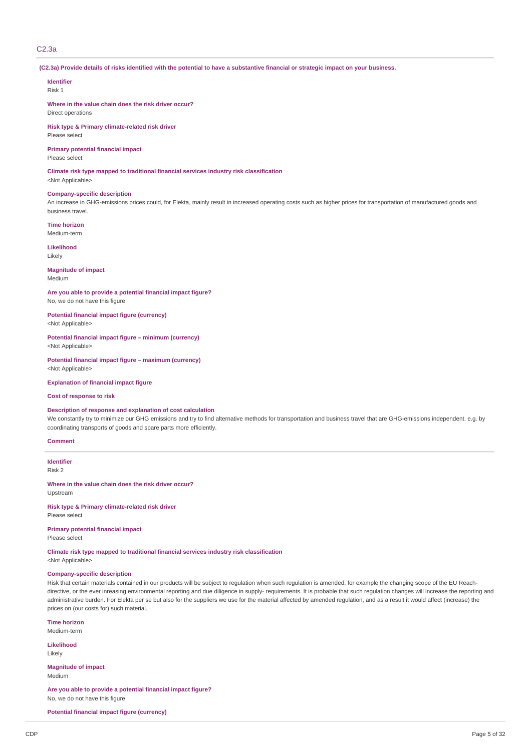## C2.3a

(C2.3a) Provide details of risks identified with the potential to have a substantive financial or strategic impact on your business.

# **Identifier**

Risk 1

**Where in the value chain does the risk driver occur?** Direct operations

**Risk type & Primary climate-related risk driver** Please select

**Primary potential financial impact** Please select

**Climate risk type mapped to traditional financial services industry risk classification**

# <Not Applicable>

# **Company-specific description**

An increase in GHG-emissions prices could, for Elekta, mainly result in increased operating costs such as higher prices for transportation of manufactured goods and business travel.

**Time horizon** Medium-term

**Likelihood**

Likely

#### **Magnitude of impact** Medium

**Are you able to provide a potential financial impact figure?** No, we do not have this figure

**Potential financial impact figure (currency)** <Not Applicable>

#### **Potential financial impact figure – minimum (currency)** <Not Applicable>

**Potential financial impact figure – maximum (currency)** <Not Applicable>

**Explanation of financial impact figure**

### **Cost of response to risk**

## **Description of response and explanation of cost calculation**

We constantly try to minimize our GHG emissions and try to find alternative methods for transportation and business travel that are GHG-emissions independent, e.g. by coordinating transports of goods and spare parts more efficiently.

#### **Comment**

**Identifier** Risk 2

**Where in the value chain does the risk driver occur?** Upstream

**Risk type & Primary climate-related risk driver** Please select

**Primary potential financial impact** Please select

**Climate risk type mapped to traditional financial services industry risk classification** <Not Applicable>

### **Company-specific description**

Risk that certain materials contained in our products will be subject to regulation when such regulation is amended, for example the changing scope of the EU Reachdirective, or the ever inreasing environmental reporting and due diligence in supply- requirements. It is probable that such regulation changes will increase the reporting and administrative burden. For Elekta per se but also for the suppliers we use for the material affected by amended regulation, and as a result it would affect (increase) the prices on (our costs for) such material.

## **Time horizon**

Medium-term

**Likelihood** Likely

**Magnitude of impact** Medium

**Are you able to provide a potential financial impact figure?** No, we do not have this figure

**Potential financial impact figure (currency)**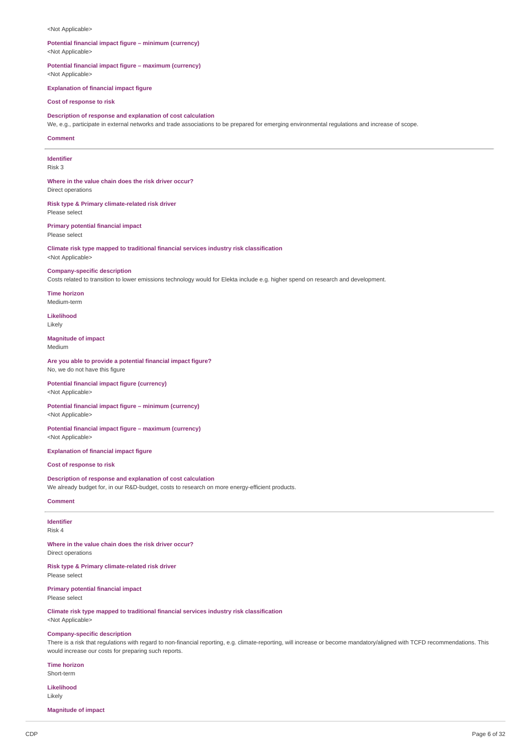#### <Not Applicable>

### **Potential financial impact figure – minimum (currency)** <Not Applicable>

**Potential financial impact figure – maximum (currency)** <Not Applicable>

**Explanation of financial impact figure**

## **Cost of response to risk**

## **Description of response and explanation of cost calculation**

We, e.g., participate in external networks and trade associations to be prepared for emerging environmental regulations and increase of scope.

#### **Comment**

#### **Identifier** Risk 3

**Where in the value chain does the risk driver occur?** Direct operations

**Risk type & Primary climate-related risk driver** Please select

## **Primary potential financial impact** Please select

## **Climate risk type mapped to traditional financial services industry risk classification** <Not Applicable>

**Company-specific description**

Costs related to transition to lower emissions technology would for Elekta include e.g. higher spend on research and development.

# **Time horizon**

Medium-term

**Likelihood** Likely

# **Magnitude of impact**

Medium

# **Are you able to provide a potential financial impact figure?**

No, we do not have this figure

## **Potential financial impact figure (currency)** <Not Applicable>

**Potential financial impact figure – minimum (currency)** <Not Applicable>

## **Potential financial impact figure – maximum (currency)** <Not Applicable>

### **Explanation of financial impact figure**

**Cost of response to risk**

# **Description of response and explanation of cost calculation**

We already budget for, in our R&D-budget, costs to research on more energy-efficient products.

# **Comment**

### **Identifier** Risk 4

**Where in the value chain does the risk driver occur?** Direct operations

**Risk type & Primary climate-related risk driver** Please select

**Primary potential financial impact** Please select

**Climate risk type mapped to traditional financial services industry risk classification** <Not Applicable>

# **Company-specific description**

There is a risk that regulations with regard to non-financial reporting, e.g. climate-reporting, will increase or become mandatory/aligned with TCFD recommendations. This would increase our costs for preparing such reports.

### **Time horizon**

# Short-term

**Likelihood** Likely

**Magnitude of impact**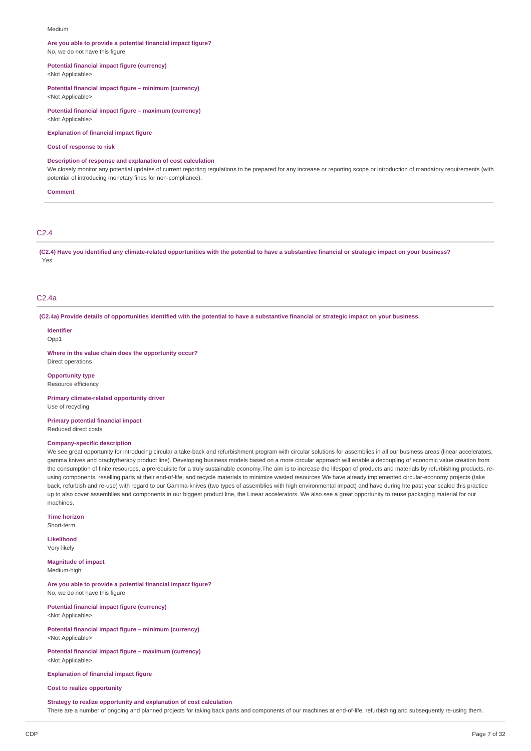#### Medium

#### **Are you able to provide a potential financial impact figure?** No, we do not have this figure

**Potential financial impact figure (currency)**

<Not Applicable>

## **Potential financial impact figure – minimum (currency)**

<Not Applicable>

# **Potential financial impact figure – maximum (currency)**

<Not Applicable>

## **Explanation of financial impact figure**

#### **Cost of response to risk**

### **Description of response and explanation of cost calculation**

We closely monitor any potential updates of current reporting regulations to be prepared for any increase or reporting scope or introduction of mandatory requirements (with potential of introducing monetary fines for non-compliance).

#### **Comment**

## C2.4

(C2.4) Have you identified any climate-related opportunities with the potential to have a substantive financial or strategic impact on your business? Yes

### C2.4a

(C2.4a) Provide details of opportunities identified with the potential to have a substantive financial or strategic impact on your business.

#### **Identifier**  $Onn1$

**Where in the value chain does the opportunity occur?** Direct operations

**Opportunity type**

Resource efficiency

**Primary climate-related opportunity driver** Use of recycling

**Primary potential financial impact** Reduced direct costs

## **Company-specific description**

We see great opportunity for introducing circular a take-back and refurbishment program with circular solutions for assemblies in all our business areas (linear accelerators, gamma knives and brachytherapy product line). Developing business models based on a more circular approach will enable a decoupling of economic value creation from the consumption of finite resources, a prerequisite for a truly sustainable economy. The aim is to increase the lifespan of products and materials by refurbishing products, reusing components, reselling parts at their end-of-life, and recycle materials to minimize wasted resources We have already implemented circular-economy projects (take back, refurbish and re-use) with regard to our Gamma-knives (two types of assemblies with high environmental impact) and have during hte past year scaled this practice up to also cover assemblies and components in our biggest product line, the Linear accelerators. We also see a great opportunity to reuse packaging material for our machines.

**Time horizon** Short-term

**Likelihood**

Very likely

**Magnitude of impact** Medium-high

**Are you able to provide a potential financial impact figure?** No, we do not have this figure

**Potential financial impact figure (currency)** <Not Applicable>

**Potential financial impact figure – minimum (currency)** <Not Applicable>

**Potential financial impact figure – maximum (currency)** <Not Applicable>

**Explanation of financial impact figure**

### **Cost to realize opportunity**

#### **Strategy to realize opportunity and explanation of cost calculation**

There are a number of ongoing and planned projects for taking back parts and components of our machines at end-of-life, refurbishing and subsequently re-using them.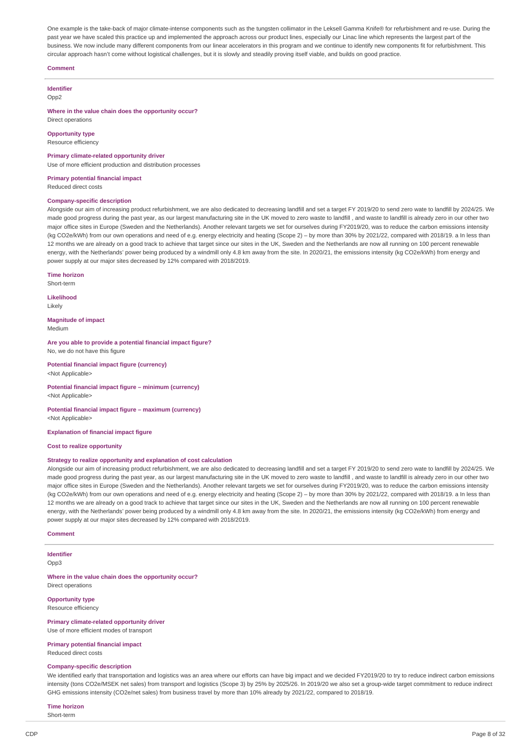One example is the take-back of major climate-intense components such as the tungsten collimator in the Leksell Gamma Knife® for refurbishment and re-use. During the past year we have scaled this practice up and implemented the approach across our product lines, especially our Linac line which represents the largest part of the business. We now include many different components from our linear accelerators in this program and we continue to identify new components fit for refurbishment. This circular approach hasn't come without logistical challenges, but it is slowly and steadily proving itself viable, and builds on good practice.

### **Comment**

**Identifier**

Opp2

**Where in the value chain does the opportunity occur?** Direct operations

**Opportunity type**

Resource efficiency

#### **Primary climate-related opportunity driver**

Use of more efficient production and distribution processes

**Primary potential financial impact**

Reduced direct costs

#### **Company-specific description**

Alongside our aim of increasing product refurbishment, we are also dedicated to decreasing landfill and set a target FY 2019/20 to send zero wate to landfill by 2024/25. We made good progress during the past year, as our largest manufacturing site in the UK moved to zero waste to landfill , and waste to landfill is already zero in our other two major office sites in Europe (Sweden and the Netherlands). Another relevant targets we set for ourselves during FY2019/20, was to reduce the carbon emissions intensity (kg CO2e/kWh) from our own operations and need of e.g. energy electricity and heating (Scope 2) – by more than 30% by 2021/22, compared with 2018/19. a In less than 12 months we are already on a good track to achieve that target since our sites in the UK, Sweden and the Netherlands are now all running on 100 percent renewable energy, with the Netherlands' power being produced by a windmill only 4.8 km away from the site. In 2020/21, the emissions intensity (kg CO2e/kWh) from energy and power supply at our major sites decreased by 12% compared with 2018/2019.

**Time horizon**

Short-term

**Likelihood** Likely

**Magnitude of impact**

Medium

**Are you able to provide a potential financial impact figure?** No, we do not have this figure

**Potential financial impact figure (currency)** <Not Applicable>

**Potential financial impact figure – minimum (currency)** <Not Applicable>

**Potential financial impact figure – maximum (currency)** <Not Applicable>

**Explanation of financial impact figure**

## **Cost to realize opportunity**

### **Strategy to realize opportunity and explanation of cost calculation**

Alongside our aim of increasing product refurbishment, we are also dedicated to decreasing landfill and set a target FY 2019/20 to send zero wate to landfill by 2024/25. We made good progress during the past year, as our largest manufacturing site in the UK moved to zero waste to landfill , and waste to landfill is already zero in our other two major office sites in Europe (Sweden and the Netherlands). Another relevant targets we set for ourselves during FY2019/20, was to reduce the carbon emissions intensity (kg CO2e/kWh) from our own operations and need of e.g. energy electricity and heating (Scope 2) – by more than 30% by 2021/22, compared with 2018/19. a In less than 12 months we are already on a good track to achieve that target since our sites in the UK, Sweden and the Netherlands are now all running on 100 percent renewable energy, with the Netherlands' power being produced by a windmill only 4.8 km away from the site. In 2020/21, the emissions intensity (kg CO2e/kWh) from energy and power supply at our major sites decreased by 12% compared with 2018/2019.

#### **Comment**

# **Identifier**

Opp3

**Where in the value chain does the opportunity occur?** Direct operations

**Opportunity type** Resource efficiency

#### **Primary climate-related opportunity driver**

Use of more efficient modes of transport

**Primary potential financial impact** Reduced direct costs

#### **Company-specific description**

We identified early that transportation and logistics was an area where our efforts can have big impact and we decided FY2019/20 to try to reduce indirect carbon emissions intensity (tons CO2e/MSEK net sales) from transport and logistics (Scope 3) by 25% by 2025/26. In 2019/20 we also set a group-wide target commitment to reduce indirect GHG emissions intensity (CO2e/net sales) from business travel by more than 10% already by 2021/22, compared to 2018/19.

## **Time horizon**

Short-term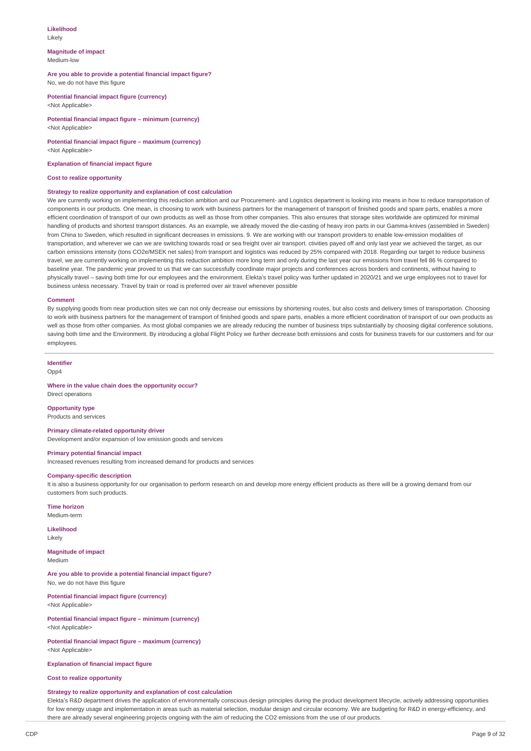#### **Likelihood** Likely

#### **Magnitude of impact** Medium-low

### **Are you able to provide a potential financial impact figure?** No, we do not have this figure

**Potential financial impact figure (currency)** <Not Applicable>

#### **Potential financial impact figure – minimum (currency)** <Not Applicable>

#### **Potential financial impact figure – maximum (currency)** <Not Applicable>

**Explanation of financial impact figure**

#### **Cost to realize opportunity**

### **Strategy to realize opportunity and explanation of cost calculation**

We are currently working on implementing this reduction ambition and our Procurement- and Logistics department is looking into means in how to reduce transportation of components in our products. One mean, is choosing to work with business partners for the management of transport of finished goods and spare parts, enables a more efficient coordination of transport of our own products as well as those from other companies. This also ensures that storage sites worldwide are optimized for minimal handling of products and shortest transport distances. As an example, we already moved the die-casting of heavy iron parts in our Gamma-knives (assembled in Sweden) from China to Sweden, which resulted in significant decreases in emissions. 9. We are working with our transport providers to enable low-emission modalities of transportation, and wherever we can we are switching towards road or sea freight over air transport. ctivities payed off and only last year we achieved the target, as our carbon emissions intensity (tons CO2e/MSEK net sales) from transport and logistics was reduced by 25% compared with 2018. Regarding our target to reduce business travel, we are currently working on implementing this reduction ambition more long term and only during the last year our emissions from travel fell 86 % compared to baseline year. The pandemic year proved to us that we can successfully coordinate major projects and conferences across borders and continents, without having to physically travel – saving both time for our employees and the environment. Elekta's travel policy was further updated in 2020/21 and we urge employees not to travel for business unless necessary. Travel by train or road is preferred over air travel whenever possible

#### **Comment**

By supplying goods from near production sites we can not only decrease our emissions by shortening routes, but also costs and delivery times of transportation. Choosing to work with business partners for the management of transport of finished goods and spare parts, enables a more efficient coordination of transport of our own products as well as those from other companies. As most global companies we are already reducing the number of business trips substantially by choosing digital conference solutions, saving both time and the Environment. By introducing a global Flight Policy we further decrease both emissions and costs for business travels for our customers and for our employees.

# **Identifier**

Opp4

## **Where in the value chain does the opportunity occur?**

Direct operations

## **Opportunity type**

Products and services

## **Primary climate-related opportunity driver**

Development and/or expansion of low emission goods and services

## **Primary potential financial impact**

Increased revenues resulting from increased demand for products and services

#### **Company-specific description**

It is also a business opportunity for our organisation to perform research on and develop more energy efficient products as there will be a growing demand from our customers from such products.

#### **Time horizon**

Medium-term

# **Likelihood**

Likely

#### **Magnitude of impact** Medium

#### **Are you able to provide a potential financial impact figure?** No, we do not have this figure

**Potential financial impact figure (currency)** <Not Applicable>

**Potential financial impact figure – minimum (currency)** <Not Applicable>

#### **Potential financial impact figure – maximum (currency)** <Not Applicable>

**Explanation of financial impact figure**

### **Cost to realize opportunity**

### **Strategy to realize opportunity and explanation of cost calculation**

Elekta's R&D department drives the application of environmentally conscious design principles during the product development lifecycle, actively addressing opportunities for low energy usage and implementation in areas such as material selection, modular design and circular economy. We are budgeting for R&D in energy-efficiency, and there are already several engineering projects ongoing with the aim of reducing the CO2 emissions from the use of our products.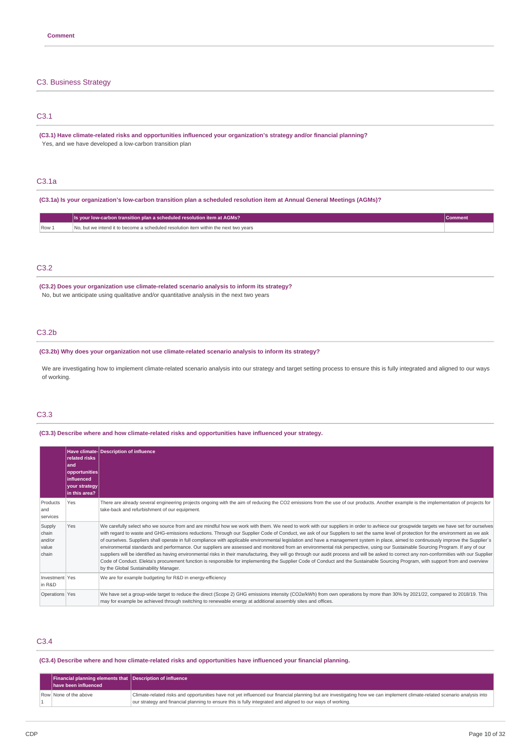## C3. Business Strategy

# C3.1

**(C3.1) Have climate-related risks and opportunities influenced your organization's strategy and/or financial planning?** Yes, and we have developed a low-carbon transition plan

# C3.1a

(C3.1a) Is your organization's low-carbon transition plan a scheduled resolution item at Annual General Meetings (AGMs)?

|      | Is your low-carbon transition plan a scheduled resolution item at AGMs?                      |  |
|------|----------------------------------------------------------------------------------------------|--|
| Row: | o. but we intend it to become a scheduled resolution item within the next two vears.<br>INO. |  |

# C3.2

**(C3.2) Does your organization use climate-related scenario analysis to inform its strategy?** No, but we anticipate using qualitative and/or quantitative analysis in the next two years

## C3.2b

**(C3.2b) Why does your organization not use climate-related scenario analysis to inform its strategy?**

We are investigating how to implement climate-related scenario analysis into our strategy and target setting process to ensure this is fully integrated and aligned to our ways of working.

# C3.3

**(C3.3) Describe where and how climate-related risks and opportunities have influenced your strategy.**

|                                             | related risks<br>land<br>opportunities<br><b>linfluenced</b><br>your strategy<br>in this area? | Have climate-Description of influence                                                                                                                                                                                                                                                                                                                                                                                                                                                                                                                                                                                                                                                                                                                                                                                                                                                                                                                                                                                                                                                                                                                                                 |
|---------------------------------------------|------------------------------------------------------------------------------------------------|---------------------------------------------------------------------------------------------------------------------------------------------------------------------------------------------------------------------------------------------------------------------------------------------------------------------------------------------------------------------------------------------------------------------------------------------------------------------------------------------------------------------------------------------------------------------------------------------------------------------------------------------------------------------------------------------------------------------------------------------------------------------------------------------------------------------------------------------------------------------------------------------------------------------------------------------------------------------------------------------------------------------------------------------------------------------------------------------------------------------------------------------------------------------------------------|
| Products<br>and<br>services                 | Yes                                                                                            | There are already several engineering projects ongoing with the aim of reducing the CO2 emissions from the use of our products. Another example is the implementation of projects for<br>take-back and refurbishment of our equipment.                                                                                                                                                                                                                                                                                                                                                                                                                                                                                                                                                                                                                                                                                                                                                                                                                                                                                                                                                |
| Supply<br>chain<br>and/or<br>value<br>chain | Yes                                                                                            | We carefully select who we source from and are mindful how we work with them. We need to work with our suppliers in order to avhiece our groupwide targets we have set for ourselves<br>with regard to waste and GHG-emissions reductions. Through our Supplier Code of Conduct, we ask of our Suppliers to set the same level of protection for the environment as we ask<br>of ourselves. Suppliers shall operate in full compliance with applicable environmental legislation and have a management system in place, aimed to continuously improve the Supplier's<br>environmental standards and performance. Our suppliers are assessed and monitored from an environmental risk perspective, using our Sustainable Sourcing Program. If any of our<br>suppliers will be identified as having environmental risks in their manufacturing, they will go through our audit process and will be asked to correct any non-conformities with our Supplier<br>Code of Conduct. Elekta's procurement function is responsible for implementing the Supplier Code of Conduct and the Sustainable Sourcing Program, with support from and overview<br>by the Global Sustainability Manager. |
| Investment Yes<br>in R&D                    |                                                                                                | We are for example budgeting for R&D in energy-efficiency                                                                                                                                                                                                                                                                                                                                                                                                                                                                                                                                                                                                                                                                                                                                                                                                                                                                                                                                                                                                                                                                                                                             |
| Operations Yes                              |                                                                                                | We have set a group-wide target to reduce the direct (Scope 2) GHG emissions intensity (CO2e/kWh) from own operations by more than 30% by 2021/22, compared to 2018/19. This<br>may for example be achieved through switching to renewable energy at additional assembly sites and offices.                                                                                                                                                                                                                                                                                                                                                                                                                                                                                                                                                                                                                                                                                                                                                                                                                                                                                           |

# C3.4

**(C3.4) Describe where and how climate-related risks and opportunities have influenced your financial planning.**

| Financial planning elements that Description of influence<br>have been influenced |                                                                                                                                                                                                                                                                                        |
|-----------------------------------------------------------------------------------|----------------------------------------------------------------------------------------------------------------------------------------------------------------------------------------------------------------------------------------------------------------------------------------|
| Row None of the above                                                             | Climate-related risks and opportunities have not yet influenced our financial planning but are investigating how we can implement climate-related scenario analysis into<br>our strategy and financial planning to ensure this is fully integrated and aligned to our ways of working. |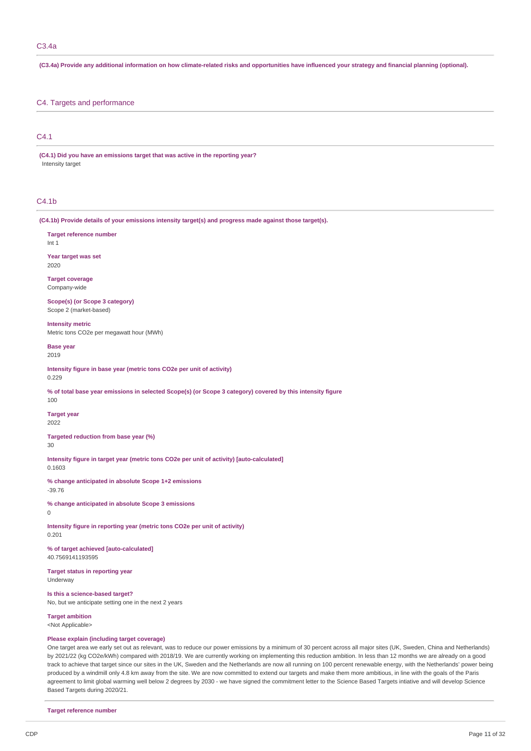(C3.4a) Provide any additional information on how climate-related risks and opportunities have influenced your strategy and financial planning (optional).

## C4. Targets and performance

## C4.1

**(C4.1) Did you have an emissions target that was active in the reporting year?** Intensity target

# $C4.1<sub>b</sub>$

**(C4.1b) Provide details of your emissions intensity target(s) and progress made against those target(s).**

**Target reference number** Int 1

**Year target was set** 2020

**Target coverage** Company-wide

**Scope(s) (or Scope 3 category)** Scope 2 (market-based)

**Intensity metric** Metric tons CO2e per megawatt hour (MWh)

**Base year** 2019

**Intensity figure in base year (metric tons CO2e per unit of activity)** 0.229

% of total base year emissions in selected Scope(s) (or Scope 3 category) covered by this intensity figure

100 **Target year**

2022

**Targeted reduction from base year (%)** 30

**Intensity figure in target year (metric tons CO2e per unit of activity) [auto-calculated]** 0.1603

**% change anticipated in absolute Scope 1+2 emissions** -39.76

**% change anticipated in absolute Scope 3 emissions** 0

**Intensity figure in reporting year (metric tons CO2e per unit of activity)** 0.201

**% of target achieved [auto-calculated]** 40.7569141193595

**Target status in reporting year** Underway

**Is this a science-based target?** No, but we anticipate setting one in the next 2 years

**Target ambition** <Not Applicable>

# **Please explain (including target coverage)**

One target area we early set out as relevant, was to reduce our power emissions by a minimum of 30 percent across all major sites (UK, Sweden, China and Netherlands) by 2021/22 (kg CO2e/kWh) compared with 2018/19. We are currently working on implementing this reduction ambition. In less than 12 months we are already on a good track to achieve that target since our sites in the UK, Sweden and the Netherlands are now all running on 100 percent renewable energy, with the Netherlands' power being produced by a windmill only 4.8 km away from the site. We are now committed to extend our targets and make them more ambitious, in line with the goals of the Paris agreement to limit global warming well below 2 degrees by 2030 - we have signed the commitment letter to the Science Based Targets intiative and will develop Science Based Targets during 2020/21.

**Target reference number**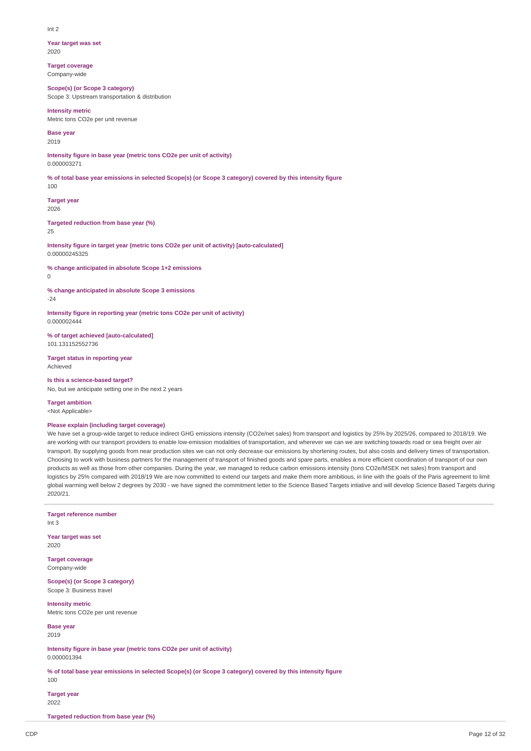#### Int 2

**Year target was set** 2020

**Target coverage** Company-wide

**Scope(s) (or Scope 3 category)** Scope 3: Upstream transportation & distribution

**Intensity metric**

Metric tons CO2e per unit revenue

**Base year**

2019

**Intensity figure in base year (metric tons CO2e per unit of activity)** 0.000003271

% of total base year emissions in selected Scope(s) (or Scope 3 category) covered by this intensity figure

**Target year** 2026

**Targeted reduction from base year (%)**

25

100

**Intensity figure in target year (metric tons CO2e per unit of activity) [auto-calculated]** 0.00000245325

**% change anticipated in absolute Scope 1+2 emissions**

 $\Omega$ 

**% change anticipated in absolute Scope 3 emissions** -24

**Intensity figure in reporting year (metric tons CO2e per unit of activity)** 0.000002444

**% of target achieved [auto-calculated]** 101.131152552736

**Target status in reporting year** Achieved

**Is this a science-based target?** No, but we anticipate setting one in the next 2 years

**Target ambition** <Not Applicable>

### **Please explain (including target coverage)**

We have set a group-wide target to reduce indirect GHG emissions intensity (CO2e/net sales) from transport and logistics by 25% by 2025/26, compared to 2018/19. We are working with our transport providers to enable low-emission modalities of transportation, and wherever we can we are switching towards road or sea freight over air transport. By supplying goods from near production sites we can not only decrease our emissions by shortening routes, but also costs and delivery times of transportation. Choosing to work with business partners for the management of transport of finished goods and spare parts, enables a more efficient coordination of transport of our own products as well as those from other companies. During the year, we managed to reduce carbon emissions intensity (tons CO2e/MSEK net sales) from transport and logistics by 25% compared with 2018/19 We are now committed to extend our targets and make them more ambitious, in line with the goals of the Paris agreement to limit global warming well below 2 degrees by 2030 - we have signed the commitment letter to the Science Based Targets intiative and will develop Science Based Targets during 2020/21.

**Target reference number** Int 3 **Year target was set** 2020 **Target coverage** Company-wide **Scope(s) (or Scope 3 category)** Scope 3: Business travel **Intensity metric** Metric tons CO2e per unit revenue **Base year** 2019 **Intensity figure in base year (metric tons CO2e per unit of activity)** 0.000001394 % of total base vear emissions in selected Scope(s) (or Scope 3 category) covered by this intensity figure 100 **Target year** 2022 **Targeted reduction from base year (%)**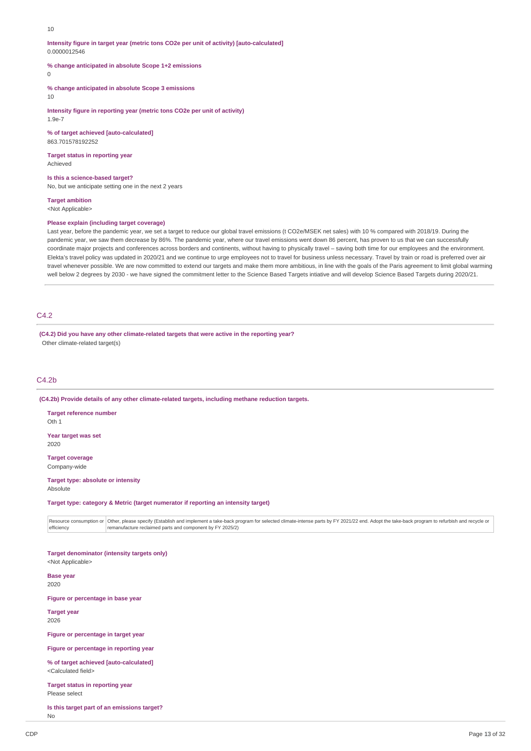#### 10

**Intensity figure in target year (metric tons CO2e per unit of activity) [auto-calculated]** 0.0000012546

**% change anticipated in absolute Scope 1+2 emissions**

## $\Omega$

**% change anticipated in absolute Scope 3 emissions**

10

**Intensity figure in reporting year (metric tons CO2e per unit of activity)** 1.9e-7

**% of target achieved [auto-calculated]** 863.701578192252

**Target status in reporting year** Achieved

#### **Is this a science-based target?**

No, but we anticipate setting one in the next 2 years

**Target ambition**

<Not Applicable>

## **Please explain (including target coverage)**

Last year, before the pandemic year, we set a target to reduce our global travel emissions (t CO2e/MSEK net sales) with 10 % compared with 2018/19. During the pandemic year, we saw them decrease by 86%. The pandemic year, where our travel emissions went down 86 percent, has proven to us that we can successfully coordinate major projects and conferences across borders and continents, without having to physically travel – saving both time for our employees and the environment. Elekta's travel policy was updated in 2020/21 and we continue to urge employees not to travel for business unless necessary. Travel by train or road is preferred over air travel whenever possible. We are now committed to extend our targets and make them more ambitious, in line with the goals of the Paris agreement to limit global warming well below 2 degrees by 2030 - we have signed the commitment letter to the Science Based Targets intiative and will develop Science Based Targets during 2020/21.

## C4.2

**(C4.2) Did you have any other climate-related targets that were active in the reporting year?** Other climate-related target(s)

## C4.2b

**(C4.2b) Provide details of any other climate-related targets, including methane reduction targets.**

**Target reference number** Oth 1 **Year target was set**

2020

**Target coverage** Company-wide

#### **Target type: absolute or intensity** Absolute

**Target type: category & Metric (target numerator if reporting an intensity target)**

Resource consumption or |Other, please specify (Establish and implement a take-back program for selected climate-intense parts by FY 2021/22 end. Adopt the take-back program to refurbish and recycle or efficiency remanufacture reclaimed parts and component by FY 2025/2)

**Target denominator (intensity targets only)** <Not Applicable>

**Base year** 2020

**Figure or percentage in base year**

**Target year** 2026

**Figure or percentage in target year**

**Figure or percentage in reporting year**

**% of target achieved [auto-calculated]** <Calculated field>

**Target status in reporting year** Please select

**Is this target part of an emissions target?**

No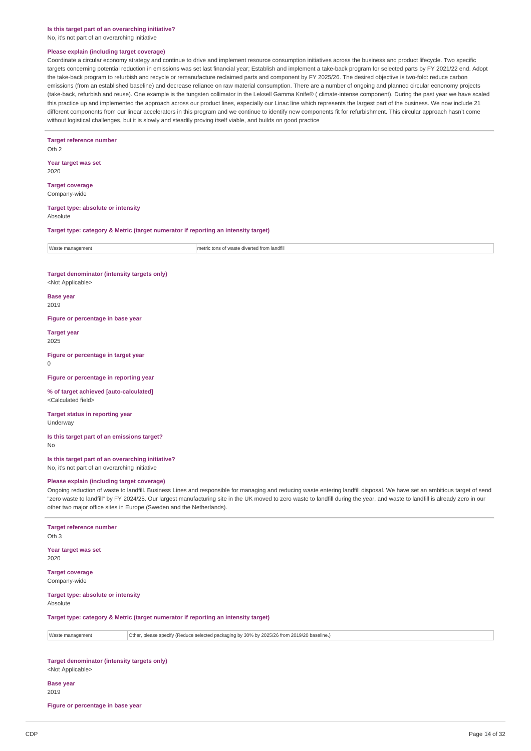#### **Is this target part of an overarching initiative?**

No, it's not part of an overarching initiative

#### **Please explain (including target coverage)**

Coordinate a circular economy strategy and continue to drive and implement resource consumption initiatives across the business and product lifecycle. Two specific targets concerning potential reduction in emissions was set last financial year; Establish and implement a take-back program for selected parts by FY 2021/22 end. Adopt the take-back program to refurbish and recycle or remanufacture reclaimed parts and component by FY 2025/26. The desired objective is two-fold: reduce carbon emissions (from an established baseline) and decrease reliance on raw material consumption. There are a number of ongoing and planned circular ecnonomy projects (take-back, refurbish and reuse). One example is the tungsten collimator in the Leksell Gamma Knife® ( climate-intense component). During the past year we have scaled this practice up and implemented the approach across our product lines, especially our Linac line which represents the largest part of the business. We now include 21 different components from our linear accelerators in this program and we continue to identify new components fit for refurbishment. This circular approach hasn't come without logistical challenges, but it is slowly and steadily proving itself viable, and builds on good practice

# **Target reference number**

 $Oth 2$ 

**Year target was set** 2020

**Target coverage** Company-wide

#### **Target type: absolute or intensity** Absolute

**Target type: category & Metric (target numerator if reporting an intensity target)**

| Waste<br>ma<br>าaαement | <b>All And Art</b><br>$f$ rom<br>n nt.<br>metric tons<br>trom landfill<br>diverted<br>waste |
|-------------------------|---------------------------------------------------------------------------------------------|
|                         |                                                                                             |

#### **Target denominator (intensity targets only)** <Not Applicable>

**Base year** 2019

**Figure or percentage in base year**

**Target year** 2025

#### **Figure or percentage in target year**  $\Omega$

**Figure or percentage in reporting year**

#### **% of target achieved [auto-calculated]** <Calculated field>

**Target status in reporting year** Underway

#### **Is this target part of an emissions target?** No

**Is this target part of an overarching initiative?** No, it's not part of an overarching initiative

### **Please explain (including target coverage)**

Ongoing reduction of waste to landfill. Business Lines and responsible for managing and reducing waste entering landfill disposal. We have set an ambitious target of send "zero waste to landfill" by FY 2024/25. Our largest manufacturing site in the UK moved to zero waste to landfill during the year, and waste to landfill is already zero in our other two major office sites in Europe (Sweden and the Netherlands).

#### **Target reference number**

Oth 3

#### **Year target was set** 2020

**Target coverage** Company-wide

#### **Target type: absolute or intensity** Absolute

**Target type: category & Metric (target numerator if reporting an intensity target)**

Waste management **Other, please specify (Reduce selected packaging by 30% by 2025/26 from 2019/20 baseline.)** 

**Target denominator (intensity targets only)** <Not Applicable>

#### **Base year** 2019

**Figure or percentage in base year**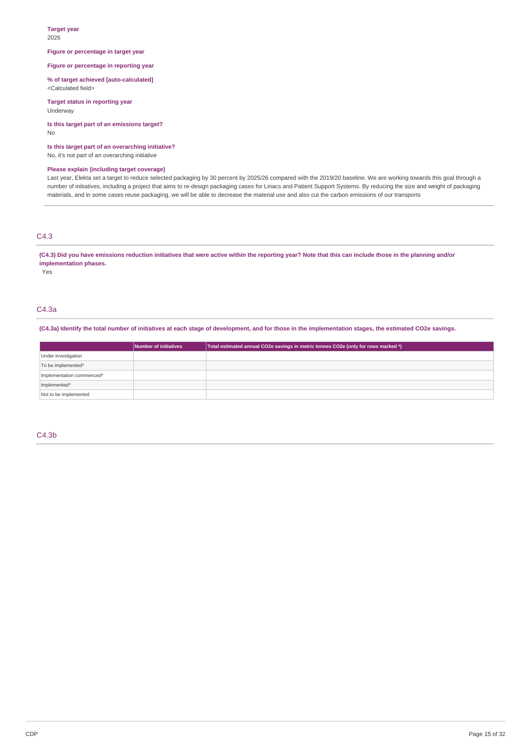#### **Target year** 2026

### **Figure or percentage in target year**

**Figure or percentage in reporting year**

**% of target achieved [auto-calculated]** <Calculated field>

**Target status in reporting year** Underway

**Is this target part of an emissions target?** No

**Is this target part of an overarching initiative?** No, it's not part of an overarching initiative

## **Please explain (including target coverage)**

Last year, Elekta set a target to reduce selected packaging by 30 percent by 2025/26 compared with the 2019/20 baseline. We are working towards this goal through a number of initiatives, including a project that aims to re-design packaging cases for Linacs and Patient Support Systems. By reducing the size and weight of packaging materials, and in some cases reuse packaging, we will be able to decrease the material use and also cut the carbon emissions of our transports

## C4.3

(C4.3) Did you have emissions reduction initiatives that were active within the reporting year? Note that this can include those in the planning and/or **implementation phases.**

Yes

# C4.3a

## (C4.3a) Identify the total number of initiatives at each stage of development, and for those in the implementation stages, the estimated CO2e savings,

|                           | Number of initiatives | Total estimated annual CO2e savings in metric tonnes CO2e (only for rows marked *) |
|---------------------------|-----------------------|------------------------------------------------------------------------------------|
| Under investigation       |                       |                                                                                    |
| To be implemented*        |                       |                                                                                    |
| Implementation commenced* |                       |                                                                                    |
| Implemented*              |                       |                                                                                    |
| Not to be implemented     |                       |                                                                                    |

## C4.3b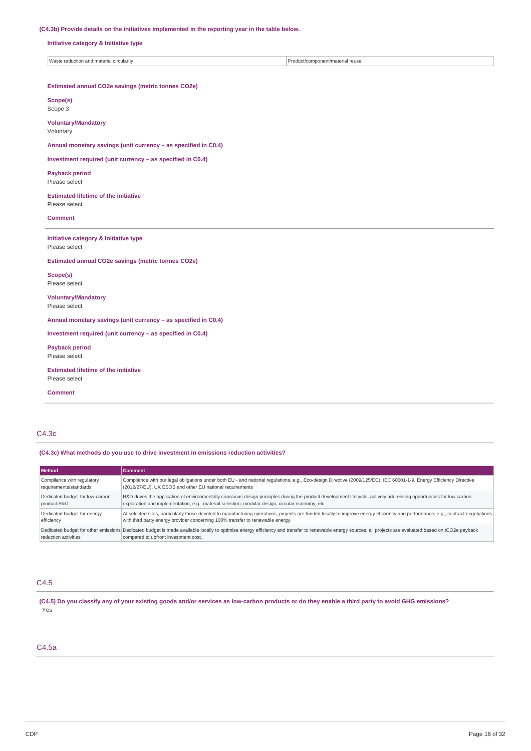## **(C4.3b) Provide details on the initiatives implemented in the reporting year in the table below.**

**Initiative category & Initiative type**

| <b>Was</b><br><b>CIrcularity</b><br>nnonent/material reuse<br>mat<br>a di Lotion<br>r/con<br>ano<br>$\epsilon$ |
|----------------------------------------------------------------------------------------------------------------|
|----------------------------------------------------------------------------------------------------------------|

## **Estimated annual CO2e savings (metric tonnes CO2e)**

**Scope(s)** Scope 3

**Voluntary/Mandatory** Voluntary

**Annual monetary savings (unit currency – as specified in C0.4)**

**Investment required (unit currency – as specified in C0.4)**

**Payback period** Please select

**Estimated lifetime of the initiative** Please select

**Comment**

**Initiative category & Initiative type** Please select

**Estimated annual CO2e savings (metric tonnes CO2e)**

**Scope(s)** Please select

**Voluntary/Mandatory** Please select

**Annual monetary savings (unit currency – as specified in C0.4)**

**Investment required (unit currency – as specified in C0.4)**

**Payback period** Please select

**Estimated lifetime of the initiative** Please select

**Comment**

# C4.3c

**(C4.3c) What methods do you use to drive investment in emissions reduction activities?**

| <b>Method</b>                   | Comment                                                                                                                                                                                                                                           |
|---------------------------------|---------------------------------------------------------------------------------------------------------------------------------------------------------------------------------------------------------------------------------------------------|
| Compliance with regulatory      | Compliance with our legal obligations under both EU - and national regulations, e.g., Eco-design Directive (2009/125/EC), IEC 60601-1-9, Energy Efficiency Directive                                                                              |
| requirements/standards          | (2012/27/EU), UK ESOS and other EU national requirements                                                                                                                                                                                          |
| Dedicated budget for low-carbon | R&D drives the application of environmentally conscious design principles during the product development lifecycle, actively addressing opportunities for low carbon                                                                              |
| product R&D                     | exploration and implementation, e.g., material selection, modular design, circular economy, etc.                                                                                                                                                  |
| Dedicated budget for energy     | At selected sites, particularly those devoted to manufacturing operations, projects are funded locally to improve energy efficiency and performance, e.g., contract negotiations                                                                  |
| efficiency                      | with third party energy provider concerning 100% transfer to renewable energy.                                                                                                                                                                    |
| reduction activities            | Dedicated budget for other emissions Dedicated budget is made available locally to optimise energy efficiency and transfer to renewable energy sources, all projects are evaluated based on tCO2e payback<br>compared to upfront investment cost. |

## C4.5

(C4.5) Do you classify any of your existing goods and/or services as low-carbon products or do they enable a third party to avoid GHG emissions? Yes

# C4.5a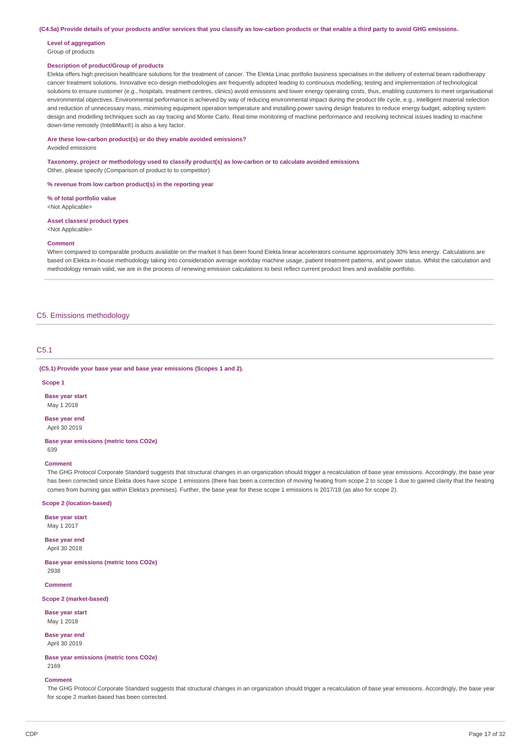(C4.5a) Provide details of your products and/or services that you classify as low-carbon products or that enable a third party to avoid GHG emissions.

# **Level of aggregation**

## Group of products

## **Description of product/Group of products**

Elekta offers high precision healthcare solutions for the treatment of cancer. The Elekta Linac portfolio business specialises in the delivery of external beam radiotherapy cancer treatment solutions. Innovative eco-design methodologies are frequently adopted leading to continuous modelling, testing and implementation of technological solutions to ensure customer (e.g., hospitals, treatment centres, clinics) avoid emissions and lower energy operating costs, thus, enabling customers to meet organisational environmental objectives. Environmental performance is achieved by way of reducing environmental impact during the product life cycle, e.g., intelligent material selection and reduction of unnecessary mass, minimising equipment operation temperature and installing power saying design features to reduce energy budget, adopting system design and modelling techniques such as ray tracing and Monte Carlo. Real-time monitoring of machine performance and resolving technical issues leading to machine down-time remotely (IntelliMax®) is also a key factor.

**Are these low-carbon product(s) or do they enable avoided emissions?**

Avoided emissions

**Taxonomy, project or methodology used to classify product(s) as low-carbon or to calculate avoided emissions** Other, please specify (Comparison of product to to competitor)

#### **% revenue from low carbon product(s) in the reporting year**

**% of total portfolio value**

<Not Applicable>

**Asset classes/ product types** <Not Applicable>

#### **Comment**

When compared to comparable products available on the market it has been found Elekta linear accelerators consume approximately 30% less energy. Calculations are based on Elekta in-house methodology taking into consideration average workday machine usage, patient treatment patterns, and power status. Whilst the calculation and methodology remain valid, we are in the process of renewing emission calculations to best reflect current product lines and available portfolio.

## C5. Emissions methodology

# C5.1

**(C5.1) Provide your base year and base year emissions (Scopes 1 and 2).**

#### **Scope 1**

**Base year start** May 1 2018

**Base year end** April 30 2019

**Base year emissions (metric tons CO2e)** 639

#### **Comment**

The GHG Protocol Corporate Standard suggests that structural changes in an organization should trigger a recalculation of base year emissions. Accordingly, the base year has been corrected since Elekta does have scope 1 emissions (there has been a correction of moving heating from scope 2 to scope 1 due to gained clarity that the heating comes from burning gas within Elekta's premises). Further, the base year for these scope 1 emissions is 2017/18 (as also for scope 2).

## **Scope 2 (location-based)**

**Base year start**

May 1 2017

**Base year end** April 30 2018

**Base year emissions (metric tons CO2e)** 2938

**Comment**

**Scope 2 (market-based)**

**Base year start** May 1 2018

**Base year end** April 30 2019

**Base year emissions (metric tons CO2e)** 2169

### **Comment**

The GHG Protocol Corporate Standard suggests that structural changes in an organization should trigger a recalculation of base year emissions. Accordingly, the base year for scope 2 market-based has been corrected.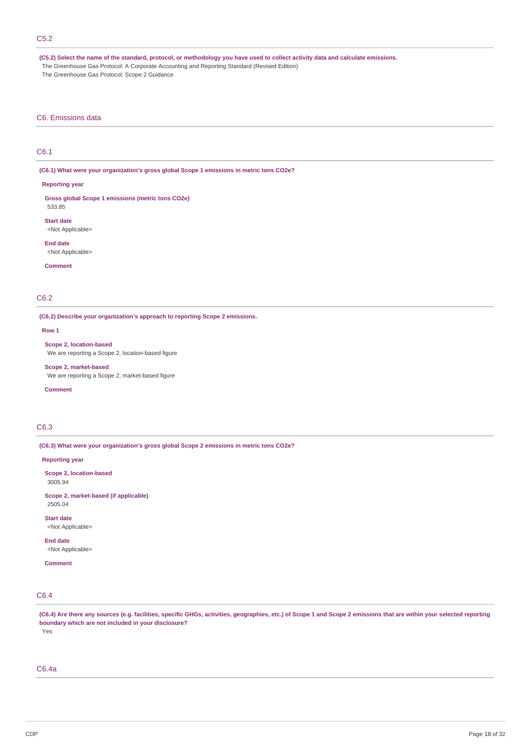# C5.2

(C5.2) Select the name of the standard, protocol, or methodology you have used to collect activity data and calculate emissions. The Greenhouse Gas Protocol: A Corporate Accounting and Reporting Standard (Revised Edition) The Greenhouse Gas Protocol: Scope 2 Guidance

## C6. Emissions data

# C6.1

**(C6.1) What were your organization's gross global Scope 1 emissions in metric tons CO2e?**

#### **Reporting year**

**Gross global Scope 1 emissions (metric tons CO2e)** 533.85

**Start date** <Not Applicable>

**End date** <Not Applicable>

**Comment**

## C6.2

**(C6.2) Describe your organization's approach to reporting Scope 2 emissions.**

**Row 1**

**Scope 2, location-based** We are reporting a Scope 2, location-based figure

**Scope 2, market-based** We are reporting a Scope 2, market-based figure

### **Comment**

# C6.3

**(C6.3) What were your organization's gross global Scope 2 emissions in metric tons CO2e?**

### **Reporting year**

**Scope 2, location-based** 3005.94

**Scope 2, market-based (if applicable)** 2505.04

**Start date** <Not Applicable>

**End date** <Not Applicable>

# **Comment**

# C6.4

(C6.4) Are there any sources (e.g. facilities, specific GHGs, activities, geographies, etc.) of Scope 1 and Scope 2 emissions that are within your selected reporting **boundary which are not included in your disclosure?** Yes

## C6.4a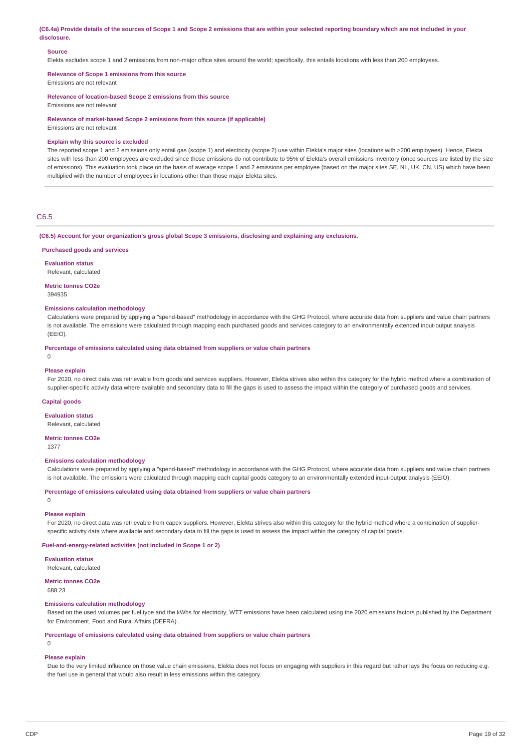(C6.4a) Provide details of the sources of Scope 1 and Scope 2 emissions that are within your selected reporting boundary which are not included in your **disclosure.**

## **Source**

Elekta excludes scope 1 and 2 emissions from non-major office sites around the world; specifically, this entails locations with less than 200 employees.

**Relevance of Scope 1 emissions from this source** Emissions are not relevant

**Relevance of location-based Scope 2 emissions from this source**

Emissions are not relevant

**Relevance of market-based Scope 2 emissions from this source (if applicable)**

Emissions are not relevant

### **Explain why this source is excluded**

The reported scope 1 and 2 emissions only entail gas (scope 1) and electricity (scope 2) use within Elekta's major sites (locations with >200 employees). Hence, Elekta sites with less than 200 employees are excluded since those emissions do not contribute to 95% of Elekta's overall emissions inventory (once sources are listed by the size of emissions). This evaluation took place on the basis of average scope 1 and 2 emissions per employee (based on the major sites SE, NL, UK, CN, US) which have been multiplied with the number of employees in locations other than those major Elekta sites.

### C6.5

#### **(C6.5) Account for your organization's gross global Scope 3 emissions, disclosing and explaining any exclusions.**

**Purchased goods and services**

**Evaluation status** Relevant, calculated

**Metric tonnes CO2e**

394935

## **Emissions calculation methodology**

Calculations were prepared by applying a "spend-based" methodology in accordance with the GHG Protocol, where accurate data from suppliers and value chain partners is not available. The emissions were calculated through mapping each purchased goods and services category to an environmentally extended input-output analysis (EEIO).

**Percentage of emissions calculated using data obtained from suppliers or value chain partners**

# **Please explain**

0

For 2020, no direct data was retrievable from goods and services suppliers. However, Elekta strives also within this category for the hybrid method where a combination of supplier-specific activity data where available and secondary data to fill the gaps is used to assess the impact within the category of purchased goods and services.

#### **Capital goods**

**Evaluation status**

Relevant, calculated

#### **Metric tonnes CO2e**

1377

 $\Omega$ 

### **Emissions calculation methodology**

Calculations were prepared by applying a "spend-based" methodology in accordance with the GHG Protocol, where accurate data from suppliers and value chain partners is not available. The emissions were calculated through mapping each capital goods category to an environmentally extended input-output analysis (EEIO).

### **Percentage of emissions calculated using data obtained from suppliers or value chain partners**

**Please explain**

For 2020, no direct data was retrievable from capex suppliers. However, Elekta strives also within this category for the hybrid method where a combination of supplierspecific activity data where available and secondary data to fill the gaps is used to assess the impact within the category of capital goods.

#### **Fuel-and-energy-related activities (not included in Scope 1 or 2)**

**Evaluation status**

Relevant, calculated

## **Metric tonnes CO2e**

688.23

## **Emissions calculation methodology**

Based on the used volumes per fuel type and the kWhs for electricity, WTT emissions have been calculated using the 2020 emissions factors published by the Department for Environment, Food and Rural Affairs (DEFRA) .

#### **Percentage of emissions calculated using data obtained from suppliers or value chain partners**

0

## **Please explain**

Due to the very limited influence on those value chain emissions, Elekta does not focus on engaging with suppliers in this regard but rather lays the focus on reducing e.g. the fuel use in general that would also result in less emissions within this category.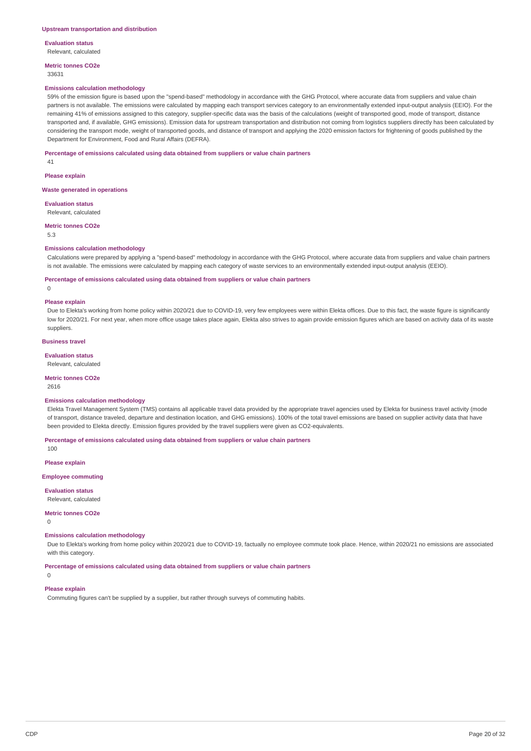**Evaluation status** Relevant, calculated

**Metric tonnes CO2e** 33631

#### **Emissions calculation methodology**

59% of the emission figure is based upon the "spend-based" methodology in accordance with the GHG Protocol, where accurate data from suppliers and value chain partners is not available. The emissions were calculated by mapping each transport services category to an environmentally extended input-output analysis (EEIO). For the remaining 41% of emissions assigned to this category, supplier-specific data was the basis of the calculations (weight of transported good, mode of transport, distance transported and, if available, GHG emissions). Emission data for upstream transportation and distribution not coming from logistics suppliers directly has been calculated by considering the transport mode, weight of transported goods, and distance of transport and applying the 2020 emission factors for frightening of goods published by the Department for Environment, Food and Rural Affairs (DEFRA).

#### **Percentage of emissions calculated using data obtained from suppliers or value chain partners**

41

**Please explain**

**Waste generated in operations**

**Evaluation status** Relevant, calculated

**Metric tonnes CO2e**

5.3

#### **Emissions calculation methodology**

Calculations were prepared by applying a "spend-based" methodology in accordance with the GHG Protocol, where accurate data from suppliers and value chain partners is not available. The emissions were calculated by mapping each category of waste services to an environmentally extended input-output analysis (EEIO).

**Percentage of emissions calculated using data obtained from suppliers or value chain partners**

 $\overline{0}$ 

#### **Please explain**

Due to Elekta's working from home policy within 2020/21 due to COVID-19, very few employees were within Elekta offices. Due to this fact, the waste figure is significantly low for 2020/21. For next year, when more office usage takes place again, Elekta also strives to again provide emission figures which are based on activity data of its waste suppliers.

#### **Business travel**

### **Evaluation status**

Relevant, calculated

**Metric tonnes CO2e**

2616

 $100$ 

#### **Emissions calculation methodology**

Elekta Travel Management System (TMS) contains all applicable travel data provided by the appropriate travel agencies used by Elekta for business travel activity (mode of transport, distance traveled, departure and destination location, and GHG emissions). 100% of the total travel emissions are based on supplier activity data that have been provided to Elekta directly. Emission figures provided by the travel suppliers were given as CO2-equivalents.

**Percentage of emissions calculated using data obtained from suppliers or value chain partners**

**Please explain**

**Employee commuting**

**Evaluation status**

Relevant, calculated

### **Metric tonnes CO2e**

 $\Omega$ 

### **Emissions calculation methodology**

Due to Elekta's working from home policy within 2020/21 due to COVID-19, factually no employee commute took place. Hence, within 2020/21 no emissions are associated with this category.

**Percentage of emissions calculated using data obtained from suppliers or value chain partners**

 $\Omega$ 

# **Please explain**

Commuting figures can't be supplied by a supplier, but rather through surveys of commuting habits.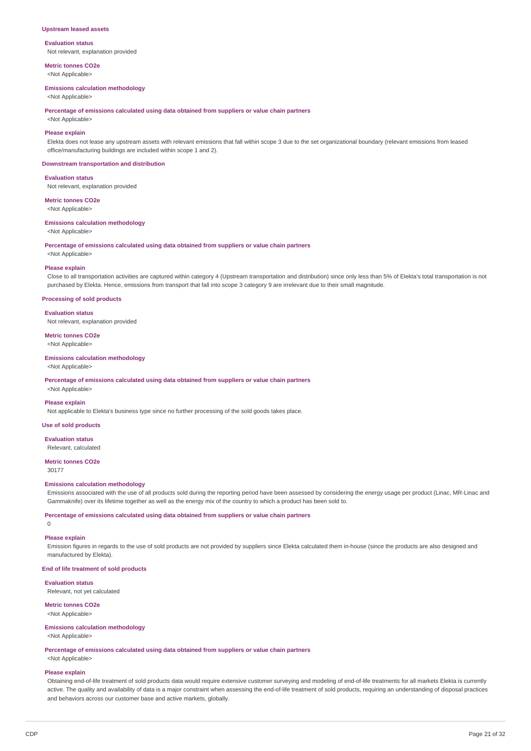### **Upstream leased assets**

### **Evaluation status**

Not relevant, explanation provided

**Metric tonnes CO2e** <Not Applicable>

#### **Emissions calculation methodology**

<Not Applicable>

**Percentage of emissions calculated using data obtained from suppliers or value chain partners**

<Not Applicable>

## **Please explain**

Elekta does not lease any upstream assets with relevant emissions that fall within scope 3 due to the set organizational boundary (relevant emissions from leased office/manufacturing buildings are included within scope 1 and 2).

#### **Downstream transportation and distribution**

#### **Evaluation status**

Not relevant, explanation provided

**Metric tonnes CO2e** <Not Applicable>

# **Emissions calculation methodology**

<Not Applicable>

**Percentage of emissions calculated using data obtained from suppliers or value chain partners**

<Not Applicable>

### **Please explain**

Close to all transportation activities are captured within category 4 (Upstream transportation and distribution) since only less than 5% of Elekta's total transportation is not purchased by Elekta. Hence, emissions from transport that fall into scope 3 category 9 are irrelevant due to their small magnitude.

#### **Processing of sold products**

#### **Evaluation status**

Not relevant, explanation provided

**Metric tonnes CO2e** <Not Applicable>

#### **Emissions calculation methodology**

<Not Applicable>

**Percentage of emissions calculated using data obtained from suppliers or value chain partners**

# <Not Applicable>

**Please explain** Not applicable to Elekta's business type since no further processing of the sold goods takes place.

### **Use of sold products**

**Evaluation status**

Relevant, calculated

#### **Metric tonnes CO2e** 30177

#### **Emissions calculation methodology**

Emissions associated with the use of all products sold during the reporting period have been assessed by considering the energy usage per product (Linac, MR-Linac and Gammaknife) over its lifetime together as well as the energy mix of the country to which a product has been sold to.

**Percentage of emissions calculated using data obtained from suppliers or value chain partners**

# $\Omega$

## **Please explain**

Emission figures in regards to the use of sold products are not provided by suppliers since Elekta calculated them in-house (since the products are also designed and manufactured by Elekta).

## **End of life treatment of sold products**

**Evaluation status** Relevant, not yet calculated

### **Metric tonnes CO2e**

<Not Applicable>

#### **Emissions calculation methodology** <Not Applicable>

**Percentage of emissions calculated using data obtained from suppliers or value chain partners** <Not Applicable>

# **Please explain**

Obtaining end-of-life treatment of sold products data would require extensive customer surveying and modeling of end-of-life treatments for all markets Elekta is currently active. The quality and availability of data is a major constraint when assessing the end-of-life treatment of sold products, requiring an understanding of disposal practices and behaviors across our customer base and active markets, globally.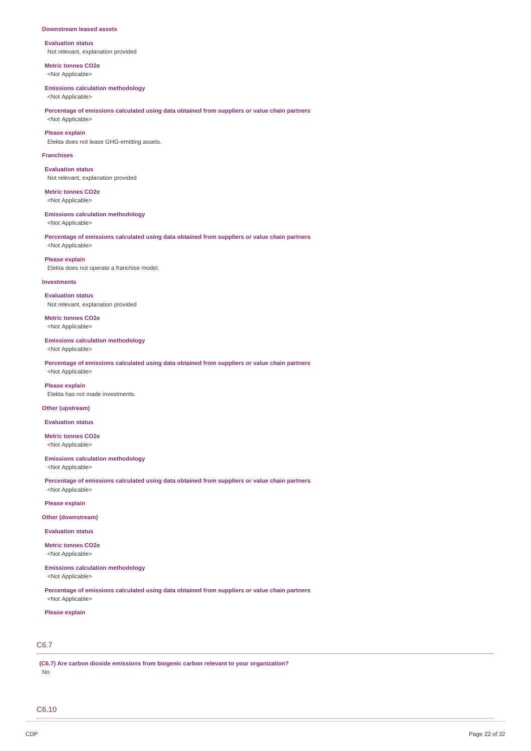#### **Downstream leased assets**

**Evaluation status** Not relevant, explanation provided

**Metric tonnes CO2e** <Not Applicable>

#### **Emissions calculation methodology**

<Not Applicable>

## **Percentage of emissions calculated using data obtained from suppliers or value chain partners** <Not Applicable>

**Please explain**

Elekta does not lease GHG-emitting assets.

### **Franchises**

**Evaluation status** Not relevant, explanation provided

**Metric tonnes CO2e** <Not Applicable>

### **Emissions calculation methodology**

<Not Applicable>

## **Percentage of emissions calculated using data obtained from suppliers or value chain partners** <Not Applicable>

**Please explain**

Elekta does not operate a franchise model.

#### **Investments**

**Evaluation status** Not relevant, explanation provided

**Metric tonnes CO2e** <Not Applicable>

#### **Emissions calculation methodology**

<Not Applicable>

**Percentage of emissions calculated using data obtained from suppliers or value chain partners** <Not Applicable>

**Please explain** Elekta has not made investments.

## **Other (upstream)**

**Evaluation status**

**Metric tonnes CO2e** <Not Applicable>

## **Emissions calculation methodology**

<Not Applicable>

**Percentage of emissions calculated using data obtained from suppliers or value chain partners** <Not Applicable>

**Please explain**

#### **Other (downstream)**

**Evaluation status**

**Metric tonnes CO2e** <Not Applicable>

# **Emissions calculation methodology**

<Not Applicable>

**Percentage of emissions calculated using data obtained from suppliers or value chain partners** <Not Applicable>

### **Please explain**

# C6.7

**(C6.7) Are carbon dioxide emissions from biogenic carbon relevant to your organization?** No

C6.10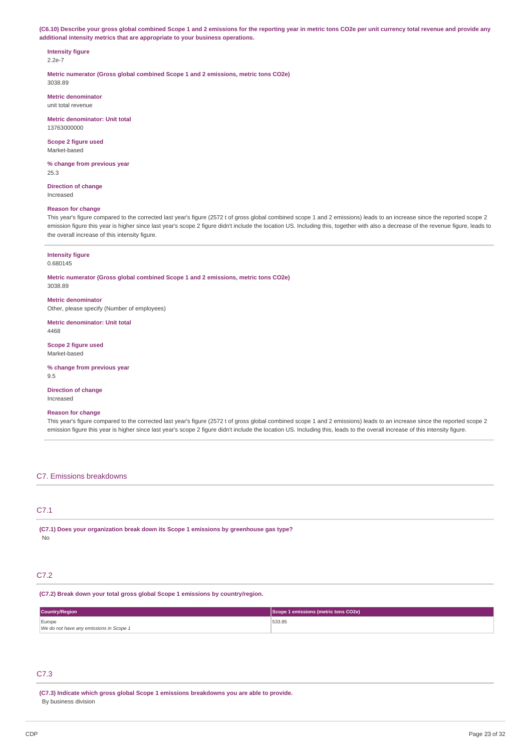(C6.10) Describe your gross global combined Scope 1 and 2 emissions for the reporting year in metric tons CO2e per unit currency total revenue and provide any **additional intensity metrics that are appropriate to your business operations.**

#### **Intensity figure** 2.2e-7

**Metric numerator (Gross global combined Scope 1 and 2 emissions, metric tons CO2e)** 3038.89

**Metric denominator** unit total revenue

**Metric denominator: Unit total** 13763000000

**Scope 2 figure used** Market-based

**% change from previous year** 25.3

**Direction of change** Increased

## **Reason for change**

This year's figure compared to the corrected last year's figure (2572 t of gross global combined scope 1 and 2 emissions) leads to an increase since the reported scope 2 emission figure this year is higher since last year's scope 2 figure didn't include the location US. Including this, together with also a decrease of the revenue figure, leads to the overall increase of this intensity figure.

#### **Intensity figure** 0.680145

**Metric numerator (Gross global combined Scope 1 and 2 emissions, metric tons CO2e)** 3038.89

**Metric denominator** Other, please specify (Number of employees)

**Metric denominator: Unit total** 4468

**Scope 2 figure used** Market-based

**% change from previous year** 9.5

**Direction of change** Increased

## **Reason for change**

This year's figure compared to the corrected last year's figure (2572 t of gross global combined scope 1 and 2 emissions) leads to an increase since the reported scope 2 emission figure this year is higher since last year's scope 2 figure didn't include the location US. Including this, leads to the overall increase of this intensity figure.

## C7. Emissions breakdowns

# C7.1

**(C7.1) Does your organization break down its Scope 1 emissions by greenhouse gas type?** No

## C7.2

**(C7.2) Break down your total gross global Scope 1 emissions by country/region.**

| <b>Country/Region</b>                   | Scope 1 emissions (metric tons CO2e) |
|-----------------------------------------|--------------------------------------|
| Europe                                  | 533.85                               |
| We do not have any emissions in Scope 1 |                                      |

# C7.3

**(C7.3) Indicate which gross global Scope 1 emissions breakdowns you are able to provide.** By business division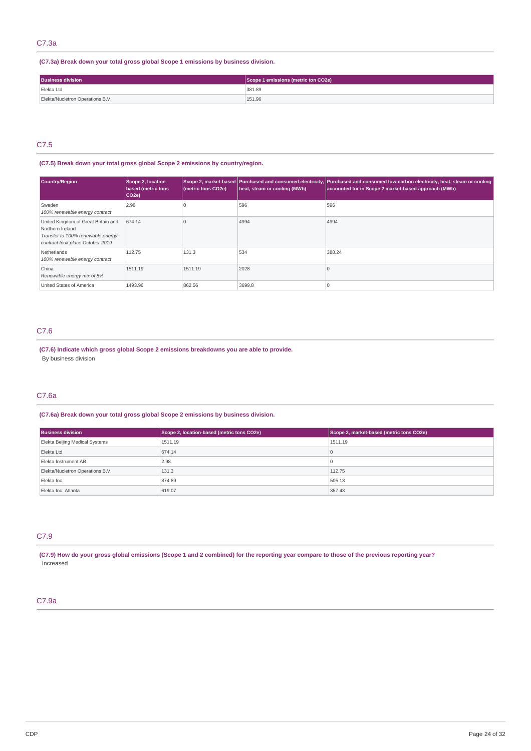## C7.3a

## **(C7.3a) Break down your total gross global Scope 1 emissions by business division.**

| <b>Business division</b>         | Scope 1 emissions (metric ton CO2e) |
|----------------------------------|-------------------------------------|
| Elekta Ltd                       | 381.89                              |
| Elekta/Nucletron Operations B.V. | 151.96                              |

## C7.5

# **(C7.5) Break down your total gross global Scope 2 emissions by country/region.**

| <b>Country/Region</b>                                                                                                            | Scope 2, location-<br><b>based (metric tons</b><br>CO <sub>2</sub> e) | (metric tons CO2e) | heat, steam or cooling (MWh) | Scope 2, market-based Purchased and consumed electricity, Purchased and consumed low-carbon electricity, heat, steam or cooling<br>accounted for in Scope 2 market-based approach (MWh) |
|----------------------------------------------------------------------------------------------------------------------------------|-----------------------------------------------------------------------|--------------------|------------------------------|-----------------------------------------------------------------------------------------------------------------------------------------------------------------------------------------|
| Sweden<br>100% renewable energy contract                                                                                         | 2.98                                                                  |                    | 596                          | 596                                                                                                                                                                                     |
| United Kingdom of Great Britain and<br>Northern Ireland<br>Transfer to 100% renewable energy<br>contract took place October 2019 | 674.14                                                                |                    | 4994                         | 4994                                                                                                                                                                                    |
| Netherlands<br>100% renewable energy contract                                                                                    | 112.75                                                                | 131.3              | 534                          | 388.24                                                                                                                                                                                  |
| China<br>Renewable energy mix of 8%                                                                                              | 1511.19                                                               | 1511.19            | 2028                         |                                                                                                                                                                                         |
| United States of America                                                                                                         | 1493.96                                                               | 862.56             | 3699.8                       |                                                                                                                                                                                         |

# C7.6

**(C7.6) Indicate which gross global Scope 2 emissions breakdowns you are able to provide.** By business division

# C7.6a

# **(C7.6a) Break down your total gross global Scope 2 emissions by business division.**

| <b>Business division</b>         | Scope 2, location-based (metric tons CO2e) | Scope 2, market-based (metric tons CO2e) |
|----------------------------------|--------------------------------------------|------------------------------------------|
| Elekta Beijing Medical Systems   | 1511.19                                    | 1511.19                                  |
| Elekta Ltd                       | 674.14                                     |                                          |
| Elekta Instrument AB             | 2.98                                       |                                          |
| Elekta/Nucletron Operations B.V. | 131.3                                      | 112.75                                   |
| Elekta Inc.                      | 874.89                                     | 505.13                                   |
| Elekta Inc. Atlanta              | 619.07                                     | 357.43                                   |

# C7.9

(C7.9) How do your gross global emissions (Scope 1 and 2 combined) for the reporting year compare to those of the previous reporting year? Increased

# C7.9a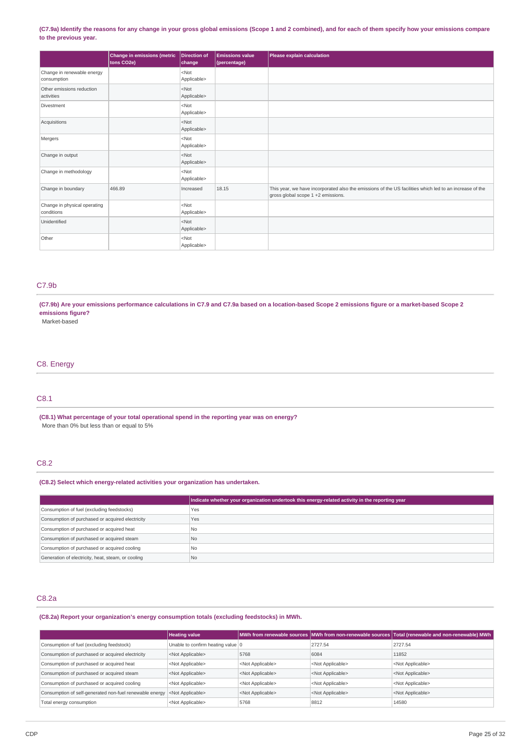## (C7.9a) Identify the reasons for any change in your gross global emissions (Scope 1 and 2 combined), and for each of them specify how your emissions compare **to the previous year.**

|                                            | Change in emissions (metric<br>tons CO2e) | <b>Direction of</b><br>change | <b>Emissions value</b><br>(percentage) | Please explain calculation                                                                                                                    |
|--------------------------------------------|-------------------------------------------|-------------------------------|----------------------------------------|-----------------------------------------------------------------------------------------------------------------------------------------------|
| Change in renewable energy<br>consumption  |                                           | $<$ Not<br>Applicable>        |                                        |                                                                                                                                               |
| Other emissions reduction<br>activities    |                                           | $<$ Not<br>Applicable>        |                                        |                                                                                                                                               |
| Divestment                                 |                                           | $<$ Not<br>Applicable>        |                                        |                                                                                                                                               |
| Acquisitions                               |                                           | $<$ Not<br>Applicable>        |                                        |                                                                                                                                               |
| Mergers                                    |                                           | $<$ Not<br>Applicable>        |                                        |                                                                                                                                               |
| Change in output                           |                                           | $<$ Not<br>Applicable>        |                                        |                                                                                                                                               |
| Change in methodology                      |                                           | $<$ Not<br>Applicable>        |                                        |                                                                                                                                               |
| Change in boundary                         | 466.89                                    | Increased                     | 18.15                                  | This year, we have incorporated also the emissions of the US facilities which led to an increase of the<br>gross global scope 1 +2 emissions. |
| Change in physical operating<br>conditions |                                           | $<$ Not<br>Applicable>        |                                        |                                                                                                                                               |
| Unidentified                               |                                           | $<$ Not<br>Applicable>        |                                        |                                                                                                                                               |
| Other                                      |                                           | $<$ Not<br>Applicable>        |                                        |                                                                                                                                               |

## C7.9b

(C7.9b) Are your emissions performance calculations in C7.9 and C7.9a based on a location-based Scope 2 emissions figure or a market-based Scope 2 **emissions figure?**

Market-based

## C8. Energy

# C8.1

**(C8.1) What percentage of your total operational spend in the reporting year was on energy?** More than 0% but less than or equal to 5%

# C8.2

## **(C8.2) Select which energy-related activities your organization has undertaken.**

|                                                    | Indicate whether your organization undertook this energy-related activity in the reporting year |
|----------------------------------------------------|-------------------------------------------------------------------------------------------------|
| Consumption of fuel (excluding feedstocks)         | Yes                                                                                             |
| Consumption of purchased or acquired electricity   | Yes                                                                                             |
| Consumption of purchased or acquired heat          | No.                                                                                             |
| Consumption of purchased or acquired steam         | No.                                                                                             |
| Consumption of purchased or acquired cooling       | No.                                                                                             |
| Generation of electricity, heat, steam, or cooling | N <sub>o</sub>                                                                                  |

## C8.2a

**(C8.2a) Report your organization's energy consumption totals (excluding feedstocks) in MWh.**

|                                                         | <b>Heating value</b>              |                           |                           | MWh from renewable sources MWh from non-renewable sources Total (renewable and non-renewable) MWh |
|---------------------------------------------------------|-----------------------------------|---------------------------|---------------------------|---------------------------------------------------------------------------------------------------|
| Consumption of fuel (excluding feedstock)               | Unable to confirm heating value 0 |                           | 2727.54                   | 2727.54                                                                                           |
| Consumption of purchased or acquired electricity        | <not applicable=""></not>         | 5768                      | 6084                      | 11852                                                                                             |
| Consumption of purchased or acquired heat               | <not applicable=""></not>         | <not applicable=""></not> | <not applicable=""></not> | <not applicable=""></not>                                                                         |
| Consumption of purchased or acquired steam              | <not applicable=""></not>         | <not applicable=""></not> | <not applicable=""></not> | <not applicable=""></not>                                                                         |
| Consumption of purchased or acquired cooling            | <not applicable=""></not>         | <not applicable=""></not> | <not applicable=""></not> | <not applicable=""></not>                                                                         |
| Consumption of self-generated non-fuel renewable energy | <not applicable=""></not>         | <not applicable=""></not> | <not applicable=""></not> | <not applicable=""></not>                                                                         |
| Total energy consumption                                | <not applicable=""></not>         | 5768                      | 8812                      | 14580                                                                                             |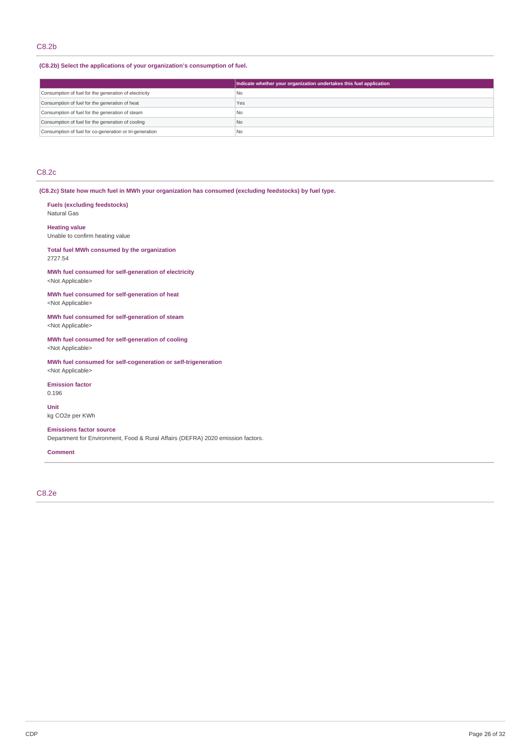## **(C8.2b) Select the applications of your organization's consumption of fuel.**

|                                                         | Indicate whether your organization undertakes this fuel application |
|---------------------------------------------------------|---------------------------------------------------------------------|
| Consumption of fuel for the generation of electricity   | l No                                                                |
| Consumption of fuel for the generation of heat          | Yes                                                                 |
| Consumption of fuel for the generation of steam         | l No                                                                |
| Consumption of fuel for the generation of cooling       | No                                                                  |
| Consumption of fuel for co-generation or tri-generation | N <sub>o</sub>                                                      |

# C8.2c

**(C8.2c) State how much fuel in MWh your organization has consumed (excluding feedstocks) by fuel type.**

# **Fuels (excluding feedstocks)**

Natural Gas

### **Heating value**

Unable to confirm heating value

### **Total fuel MWh consumed by the organization** 2727.54

**MWh fuel consumed for self-generation of electricity** <Not Applicable>

### **MWh fuel consumed for self-generation of heat** <Not Applicable>

**MWh fuel consumed for self-generation of steam** <Not Applicable>

### **MWh fuel consumed for self-generation of cooling** <Not Applicable>

**MWh fuel consumed for self-cogeneration or self-trigeneration** <Not Applicable>

### **Emission factor**

0.196

**Unit** kg CO2e per KWh

## **Emissions factor source**

Department for Environment, Food & Rural Affairs (DEFRA) 2020 emission factors.

## **Comment**

C8.2e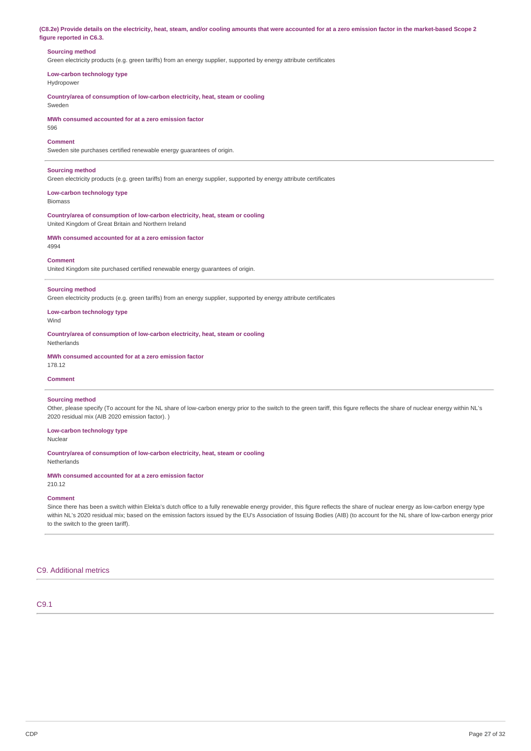(C8.2e) Provide details on the electricity, heat, steam, and/or cooling amounts that were accounted for at a zero emission factor in the market-based Scope 2 **figure reported in C6.3.**

## **Sourcing method**

Green electricity products (e.g. green tariffs) from an energy supplier, supported by energy attribute certificates

**Low-carbon technology type** Hydropower

**Country/area of consumption of low-carbon electricity, heat, steam or cooling** Sweden

**MWh consumed accounted for at a zero emission factor** 596

#### **Comment**

Sweden site purchases certified renewable energy guarantees of origin.

### **Sourcing method**

Green electricity products (e.g. green tariffs) from an energy supplier, supported by energy attribute certificates

# **Low-carbon technology type**

Biomass

**Country/area of consumption of low-carbon electricity, heat, steam or cooling** United Kingdom of Great Britain and Northern Ireland

**MWh consumed accounted for at a zero emission factor** 4994

#### **Comment**

United Kingdom site purchased certified renewable energy guarantees of origin.

#### **Sourcing method**

Green electricity products (e.g. green tariffs) from an energy supplier, supported by energy attribute certificates

# **Low-carbon technology type**

Wind

**Country/area of consumption of low-carbon electricity, heat, steam or cooling** Netherlands

## **MWh consumed accounted for at a zero emission factor**

178.12

## **Comment**

#### **Sourcing method**

Other, please specify (To account for the NL share of low-carbon energy prior to the switch to the green tariff, this figure reflects the share of nuclear energy within NL's 2020 residual mix (AIB 2020 emission factor). )

### **Low-carbon technology type**

Nuclear

# **Country/area of consumption of low-carbon electricity, heat, steam or cooling**

Netherlands

#### **MWh consumed accounted for at a zero emission factor** 210.12

## **Comment**

Since there has been a switch within Elekta's dutch office to a fully renewable energy provider, this figure reflects the share of nuclear energy as low-carbon energy type within NL's 2020 residual mix; based on the emission factors issued by the EU's Association of Issuing Bodies (AIB) (to account for the NL share of low-carbon energy prior to the switch to the green tariff).

## C9. Additional metrics

# C9.1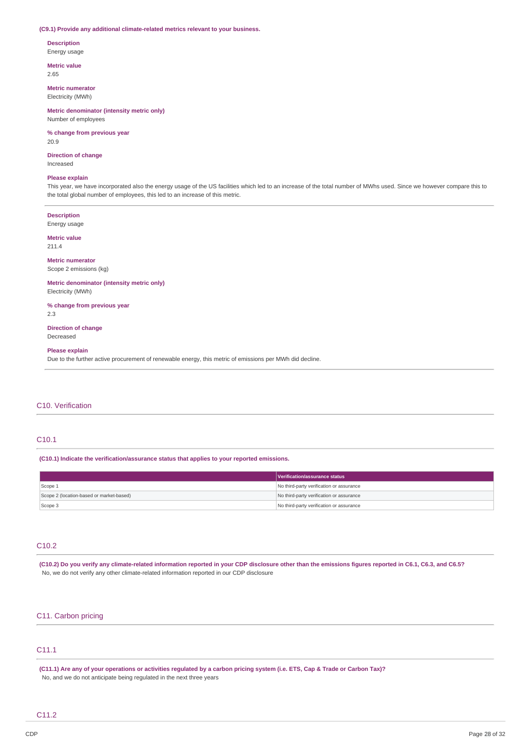### **(C9.1) Provide any additional climate-related metrics relevant to your business.**

## **Description**

Energy usage

**Metric value** 2.65

**Metric numerator**

Electricity (MWh)

### **Metric denominator (intensity metric only)** Number of employees

**% change from previous year** 20.9

**Direction of change** Increased

#### **Please explain**

This year, we have incorporated also the energy usage of the US facilities which led to an increase of the total number of MWhs used. Since we however compare this to the total global number of employees, this led to an increase of this metric.

#### **Description**

Energy usage

**Metric value** 211.4

#### **Metric numerator**

Scope 2 emissions (kg)

**Metric denominator (intensity metric only)** Electricity (MWh)

**% change from previous year** 2.3

**Direction of change** Decreased

## **Please explain**

Due to the further active procurement of renewable energy, this metric of emissions per MWh did decline.

## C10. Verification

### C10.1

**(C10.1) Indicate the verification/assurance status that applies to your reported emissions.**

|                                          | Verification/assurance status            |
|------------------------------------------|------------------------------------------|
| Scope 1                                  | No third-party verification or assurance |
| Scope 2 (location-based or market-based) | No third-party verification or assurance |
| Scope 3                                  | No third-party verification or assurance |

## C10.2

(C10.2) Do you verify any climate-related information reported in your CDP disclosure other than the emissions figures reported in C6.1, C6.3, and C6.5? No, we do not verify any other climate-related information reported in our CDP disclosure

# C11. Carbon pricing

# C11.1

(C11.1) Are any of your operations or activities regulated by a carbon pricing system (i.e. ETS, Cap & Trade or Carbon Tax)? No, and we do not anticipate being regulated in the next three years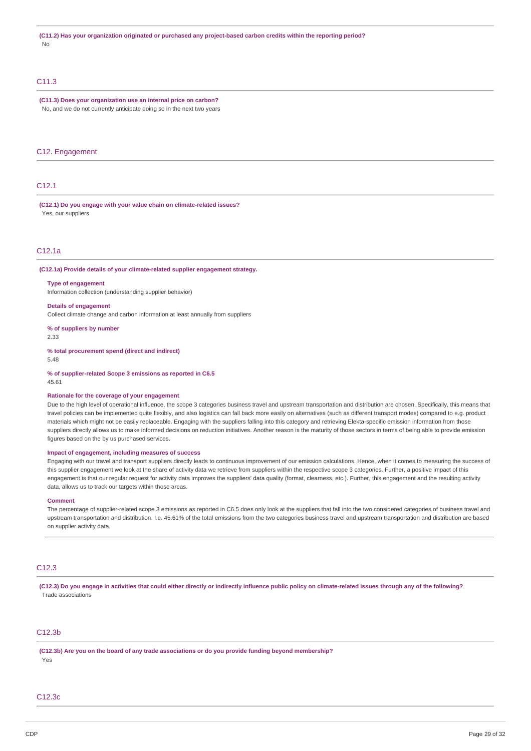## C<sub>11.3</sub>

#### **(C11.3) Does your organization use an internal price on carbon?** No, and we do not currently anticipate doing so in the next two years

### C12. Engagement

## C12.1

**(C12.1) Do you engage with your value chain on climate-related issues?** Yes, our suppliers

## C12.1a

**(C12.1a) Provide details of your climate-related supplier engagement strategy.**

### **Type of engagement**

Information collection (understanding supplier behavior)

#### **Details of engagement**

Collect climate change and carbon information at least annually from suppliers

**% of suppliers by number**

2.33

**% total procurement spend (direct and indirect)** 5.48

**% of supplier-related Scope 3 emissions as reported in C6.5** 45.61

#### **Rationale for the coverage of your engagement**

Due to the high level of operational influence, the scope 3 categories business travel and upstream transportation and distribution are chosen. Specifically, this means that travel policies can be implemented quite flexibly, and also logistics can fall back more easily on alternatives (such as different transport modes) compared to e.g. product materials which might not be easily replaceable. Engaging with the suppliers falling into this category and retrieving Elekta-specific emission information from those suppliers directly allows us to make informed decisions on reduction initiatives. Another reason is the maturity of those sectors in terms of being able to provide emission figures based on the by us purchased services.

## **Impact of engagement, including measures of success**

Engaging with our travel and transport suppliers directly leads to continuous improvement of our emission calculations. Hence, when it comes to measuring the success of this supplier engagement we look at the share of activity data we retrieve from suppliers within the respective scope 3 categories. Further, a positive impact of this engagement is that our regular request for activity data improves the suppliers' data quality (format, clearness, etc.). Further, this engagement and the resulting activity data, allows us to track our targets within those areas.

#### **Comment**

The percentage of supplier-related scope 3 emissions as reported in C6.5 does only look at the suppliers that fall into the two considered categories of business travel and upstream transportation and distribution. I.e. 45.61% of the total emissions from the two categories business travel and upstream transportation and distribution are based on supplier activity data.

## C12.3

(C12.3) Do you engage in activities that could either directly or indirectly influence public policy on climate-related issues through any of the following? Trade associations

## C12.3b

**(C12.3b) Are you on the board of any trade associations or do you provide funding beyond membership?** Yes

### C12.3c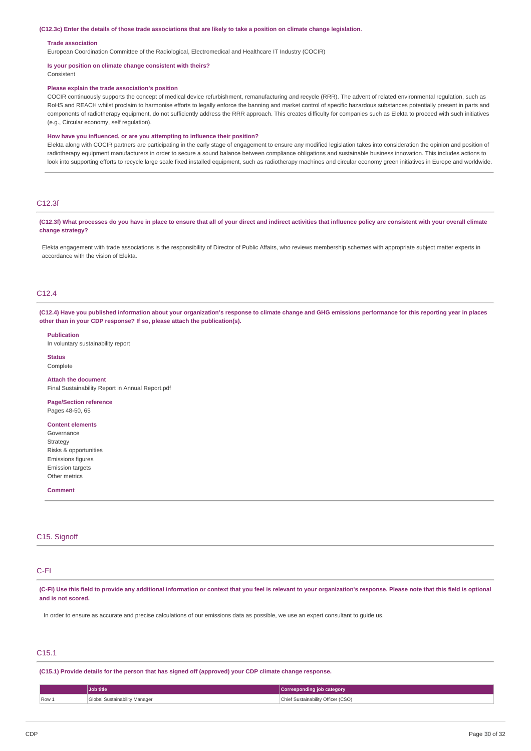#### (C12.3c) Enter the details of those trade associations that are likely to take a position on climate change legislation.

#### **Trade association**

European Coordination Committee of the Radiological, Electromedical and Healthcare IT Industry (COCIR)

## **Is your position on climate change consistent with theirs?**

Consistent

### **Please explain the trade association's position**

COCIR continuously supports the concept of medical device refurbishment, remanufacturing and recycle (RRR). The advent of related environmental regulation, such as RoHS and REACH whilst proclaim to harmonise efforts to legally enforce the banning and market control of specific hazardous substances potentially present in parts and components of radiotherapy equipment, do not sufficiently address the RRR approach. This creates difficulty for companies such as Elekta to proceed with such initiatives (e.g., Circular economy, self regulation).

#### **How have you influenced, or are you attempting to influence their position?**

Elekta along with COCIR partners are participating in the early stage of engagement to ensure any modified legislation takes into consideration the opinion and position of radiotherapy equipment manufacturers in order to secure a sound balance between compliance obligations and sustainable business innovation. This includes actions to look into supporting efforts to recycle large scale fixed installed equipment, such as radiotherapy machines and circular economy green initiatives in Europe and worldwide.

## C12.3f

(C12.3f) What processes do you have in place to ensure that all of your direct and indirect activities that influence policy are consistent with your overall climate **change strategy?**

Elekta engagement with trade associations is the responsibility of Director of Public Affairs, who reviews membership schemes with appropriate subject matter experts in accordance with the vision of Elekta.

## C12.4

(C12.4) Have you published information about your organization's response to climate change and GHG emissions performance for this reporting year in places **other than in your CDP response? If so, please attach the publication(s).**

**Publication**

In voluntary sustainability report

**Status** Complete

## **Attach the document**

Final Sustainability Report in Annual Report.pdf

#### **Page/Section reference**

Pages 48-50, 65

### **Content elements**

Governance **Strategy** Risks & opportunities Emissions figures Emission targets Other metrics

#### **Comment**

# C<sub>15</sub>. Signoff

# C-FI

(C-FI) Use this field to provide any additional information or context that you feel is relevant to your organization's response. Please note that this field is optional **and is not scored.**

In order to ensure as accurate and precise calculations of our emissions data as possible, we use an expert consultant to guide us.

## C15.1

**(C15.1) Provide details for the person that has signed off (approved) your CDP climate change response.**

|       | <b>Job title</b>              | Corresponding job category         |
|-------|-------------------------------|------------------------------------|
| Row 1 | Global Sustainability Manager | Chief Sustainability Officer (CSO) |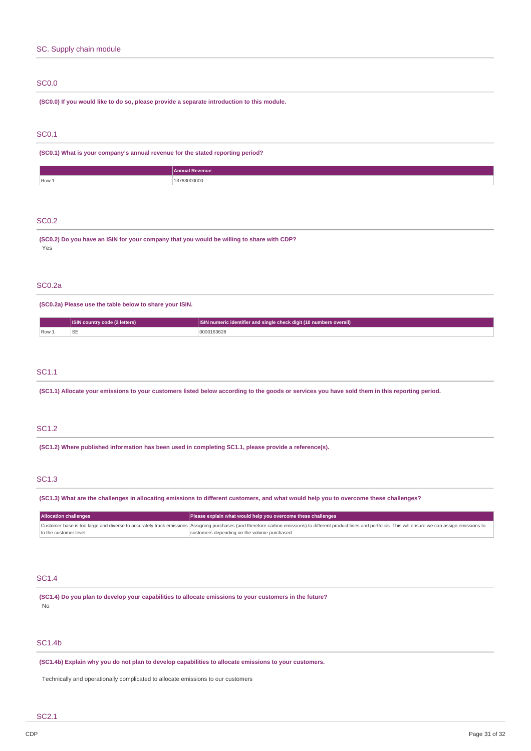# SC. Supply chain module

# SC0.0

**(SC0.0) If you would like to do so, please provide a separate introduction to this module.**

# SC0.1

**(SC0.1) What is your company's annual revenue for the stated reporting period?**

|         | renue<br>Anni<br>. |
|---------|--------------------|
| $Row_1$ | 16.7<br>,,,,,,,,   |

## SC0.2

**(SC0.2) Do you have an ISIN for your company that you would be willing to share with CDP?** Yes

## SC0.2a

**(SC0.2a) Please use the table below to share your ISIN.**

|      | (2 letters)<br><b>ISIN country code</b> | ISIN numeric identifier and single check digit (10 numbers overall) |  |
|------|-----------------------------------------|---------------------------------------------------------------------|--|
| Row. |                                         | 2000163628                                                          |  |
|      |                                         |                                                                     |  |

## SC1.1

(SC1.1) Allocate your emissions to your customers listed below according to the goods or services you have sold them in this reporting period.

# SC1.2

**(SC1.2) Where published information has been used in completing SC1.1, please provide a reference(s).**

## SC1.3

(SC1.3) What are the challenges in allocating emissions to different customers, and what would help you to overcome these challenges?

| <b>Allocation challenges</b> | Please explain what would help you overcome these challenges                                                                                                                                                     |
|------------------------------|------------------------------------------------------------------------------------------------------------------------------------------------------------------------------------------------------------------|
|                              | Customer base is too large and diverse to accurately track emissions Assigning purchases (and therefore carbon emissions) to different product lines and portfolios. This will ensure we can assign emissions to |
| to the customer level        | customers depending on the volume purchased                                                                                                                                                                      |

## SC1.4

**(SC1.4) Do you plan to develop your capabilities to allocate emissions to your customers in the future?** No

## SC1.4b

**(SC1.4b) Explain why you do not plan to develop capabilities to allocate emissions to your customers.**

Technically and operationally complicated to allocate emissions to our customers